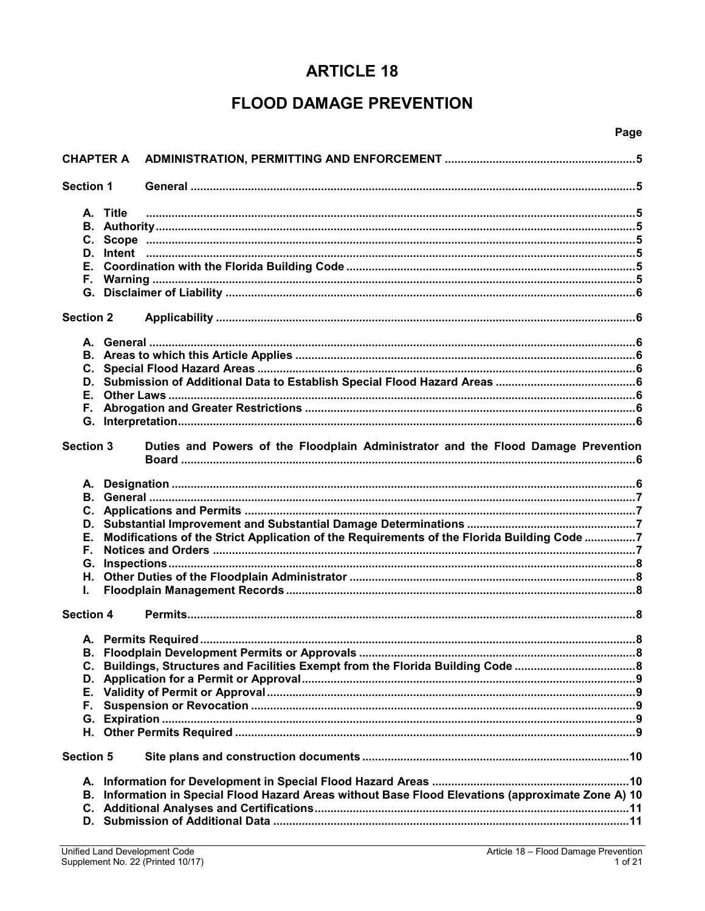# **ARTICLE 18**

# **FLOOD DAMAGE PREVENTION**

## Page

| <b>CHAPTER A</b>           |                                                                                                 |  |
|----------------------------|-------------------------------------------------------------------------------------------------|--|
| <b>Section 1</b>           |                                                                                                 |  |
| A. Title                   |                                                                                                 |  |
| <b>Section 2</b>           |                                                                                                 |  |
| Е.                         |                                                                                                 |  |
| <b>Section 3</b>           | Duties and Powers of the Floodplain Administrator and the Flood Damage Prevention               |  |
| Е.<br>F.<br>G.<br>Η.<br>L. | Modifications of the Strict Application of the Requirements of the Florida Building Code 7      |  |
| <b>Section 4</b>           |                                                                                                 |  |
| D.<br>Е.<br>Е.,<br>G.      |                                                                                                 |  |
| <b>Section 5</b>           |                                                                                                 |  |
| В.                         | Information in Special Flood Hazard Areas without Base Flood Elevations (approximate Zone A) 10 |  |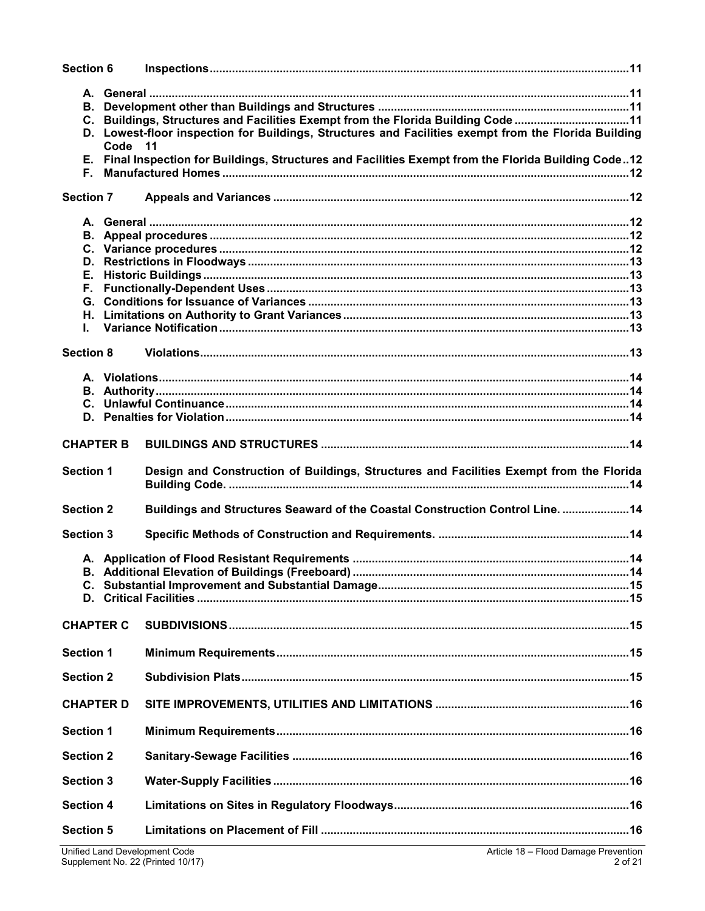| Section 6        |         |                                                                                                                                                                                                                                                                                                  |  |
|------------------|---------|--------------------------------------------------------------------------------------------------------------------------------------------------------------------------------------------------------------------------------------------------------------------------------------------------|--|
| Е.               | Code 11 | C. Buildings, Structures and Facilities Exempt from the Florida Building Code 11<br>D. Lowest-floor inspection for Buildings, Structures and Facilities exempt from the Florida Building<br>E. Final Inspection for Buildings, Structures and Facilities Exempt from the Florida Building Code12 |  |
| <b>Section 7</b> |         |                                                                                                                                                                                                                                                                                                  |  |
|                  |         |                                                                                                                                                                                                                                                                                                  |  |
|                  |         |                                                                                                                                                                                                                                                                                                  |  |
|                  |         |                                                                                                                                                                                                                                                                                                  |  |
|                  |         |                                                                                                                                                                                                                                                                                                  |  |
| Е.               |         |                                                                                                                                                                                                                                                                                                  |  |
|                  |         |                                                                                                                                                                                                                                                                                                  |  |
|                  |         |                                                                                                                                                                                                                                                                                                  |  |
|                  |         |                                                                                                                                                                                                                                                                                                  |  |
| L.               |         |                                                                                                                                                                                                                                                                                                  |  |
| <b>Section 8</b> |         |                                                                                                                                                                                                                                                                                                  |  |
|                  |         |                                                                                                                                                                                                                                                                                                  |  |
|                  |         |                                                                                                                                                                                                                                                                                                  |  |
|                  |         |                                                                                                                                                                                                                                                                                                  |  |
|                  |         |                                                                                                                                                                                                                                                                                                  |  |
|                  |         |                                                                                                                                                                                                                                                                                                  |  |
| <b>CHAPTER B</b> |         |                                                                                                                                                                                                                                                                                                  |  |
| <b>Section 1</b> |         | Design and Construction of Buildings, Structures and Facilities Exempt from the Florida                                                                                                                                                                                                          |  |
| <b>Section 2</b> |         | Buildings and Structures Seaward of the Coastal Construction Control Line. 14                                                                                                                                                                                                                    |  |
| <b>Section 3</b> |         |                                                                                                                                                                                                                                                                                                  |  |
|                  |         |                                                                                                                                                                                                                                                                                                  |  |
|                  |         |                                                                                                                                                                                                                                                                                                  |  |
|                  |         |                                                                                                                                                                                                                                                                                                  |  |
|                  |         |                                                                                                                                                                                                                                                                                                  |  |
| <b>CHAPTER C</b> |         |                                                                                                                                                                                                                                                                                                  |  |
| <b>Section 1</b> |         |                                                                                                                                                                                                                                                                                                  |  |
| <b>Section 2</b> |         |                                                                                                                                                                                                                                                                                                  |  |
| <b>CHAPTER D</b> |         |                                                                                                                                                                                                                                                                                                  |  |
| <b>Section 1</b> |         |                                                                                                                                                                                                                                                                                                  |  |
| <b>Section 2</b> |         |                                                                                                                                                                                                                                                                                                  |  |
| <b>Section 3</b> |         |                                                                                                                                                                                                                                                                                                  |  |
| <b>Section 4</b> |         |                                                                                                                                                                                                                                                                                                  |  |
| <b>Section 5</b> |         |                                                                                                                                                                                                                                                                                                  |  |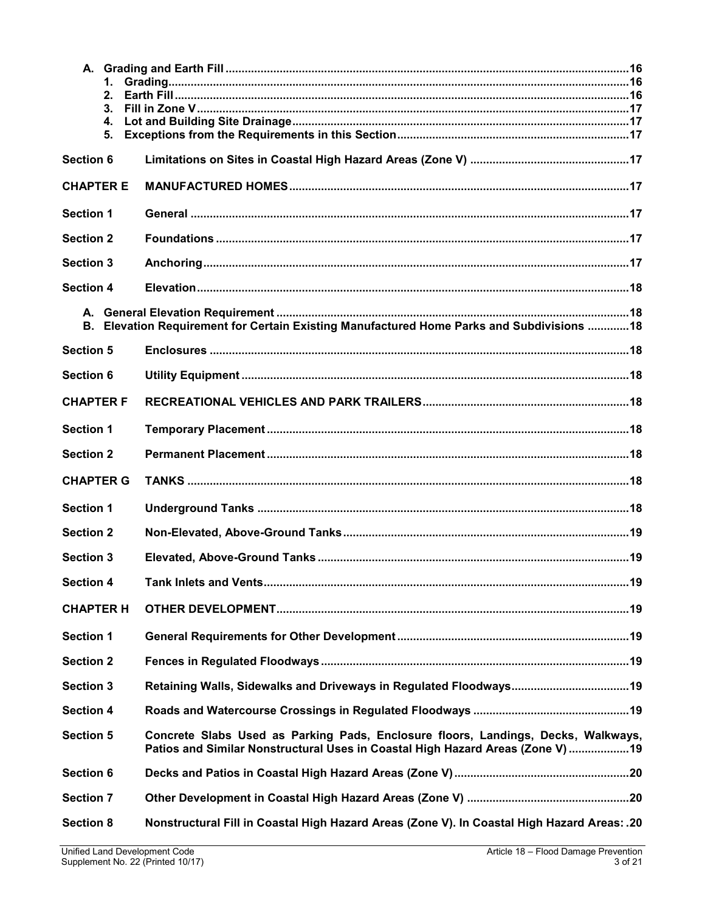| 1.<br>2.<br>3.<br>4.<br>5. |                                                                                                                                                                      |  |
|----------------------------|----------------------------------------------------------------------------------------------------------------------------------------------------------------------|--|
| <b>Section 6</b>           |                                                                                                                                                                      |  |
| <b>CHAPTER E</b>           |                                                                                                                                                                      |  |
| <b>Section 1</b>           |                                                                                                                                                                      |  |
| <b>Section 2</b>           |                                                                                                                                                                      |  |
| <b>Section 3</b>           |                                                                                                                                                                      |  |
| <b>Section 4</b>           |                                                                                                                                                                      |  |
| В.                         | Elevation Requirement for Certain Existing Manufactured Home Parks and Subdivisions  18                                                                              |  |
| <b>Section 5</b>           |                                                                                                                                                                      |  |
| <b>Section 6</b>           |                                                                                                                                                                      |  |
| <b>CHAPTER F</b>           |                                                                                                                                                                      |  |
| <b>Section 1</b>           |                                                                                                                                                                      |  |
| <b>Section 2</b>           |                                                                                                                                                                      |  |
| <b>CHAPTER G</b>           |                                                                                                                                                                      |  |
| <b>Section 1</b>           |                                                                                                                                                                      |  |
| <b>Section 2</b>           |                                                                                                                                                                      |  |
| Section 3                  |                                                                                                                                                                      |  |
| <b>Section 4</b>           |                                                                                                                                                                      |  |
| <b>CHAPTER H</b>           |                                                                                                                                                                      |  |
| <b>Section 1</b>           |                                                                                                                                                                      |  |
| <b>Section 2</b>           |                                                                                                                                                                      |  |
| <b>Section 3</b>           |                                                                                                                                                                      |  |
| <b>Section 4</b>           |                                                                                                                                                                      |  |
| <b>Section 5</b>           | Concrete Slabs Used as Parking Pads, Enclosure floors, Landings, Decks, Walkways,<br>Patios and Similar Nonstructural Uses in Coastal High Hazard Areas (Zone V)  19 |  |
| <b>Section 6</b>           |                                                                                                                                                                      |  |
| <b>Section 7</b>           |                                                                                                                                                                      |  |
| <b>Section 8</b>           | Nonstructural Fill in Coastal High Hazard Areas (Zone V). In Coastal High Hazard Areas: .20                                                                          |  |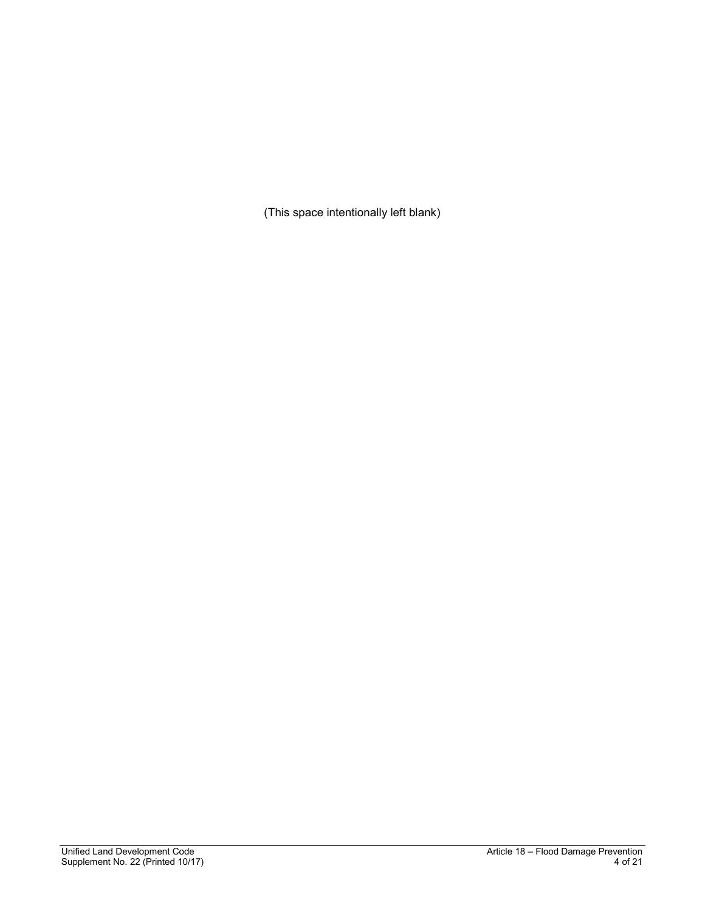(This space intentionally left blank)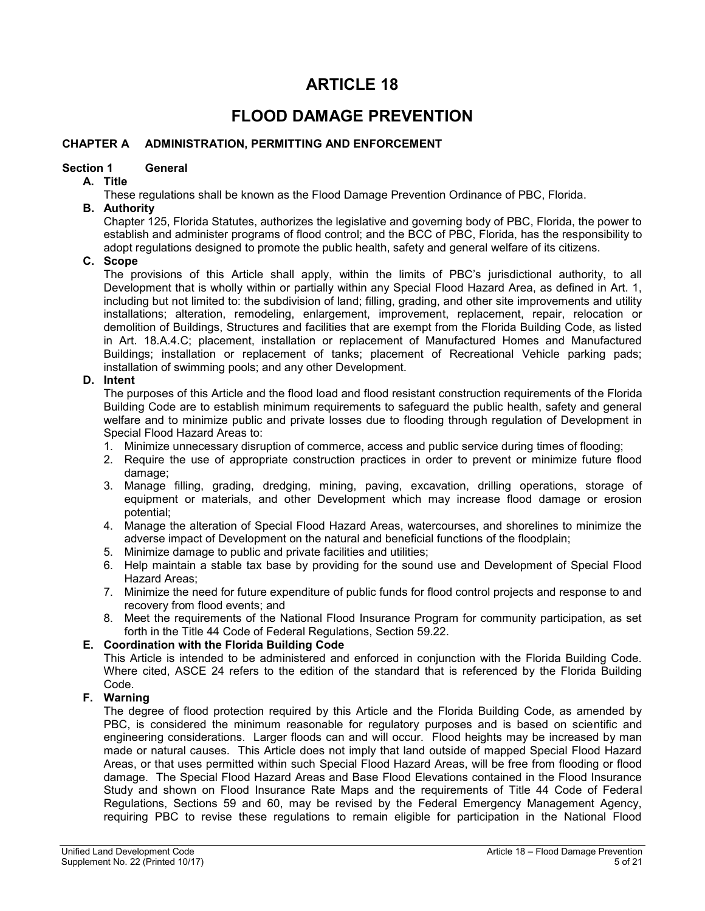# **ARTICLE 18**

# **FLOOD DAMAGE PREVENTION**

## <span id="page-4-0"></span>**CHAPTER A ADMINISTRATION, PERMITTING AND ENFORCEMENT**

## <span id="page-4-1"></span>**Section 1 General**

## <span id="page-4-2"></span>**A. Title**

These regulations shall be known as the Flood Damage Prevention Ordinance of PBC, Florida.

### <span id="page-4-3"></span>**B. Authority**

Chapter 125, Florida Statutes, authorizes the legislative and governing body of PBC, Florida, the power to establish and administer programs of flood control; and the BCC of PBC, Florida, has the responsibility to adopt regulations designed to promote the public health, safety and general welfare of its citizens.

# <span id="page-4-4"></span>**C. Scope**

The provisions of this Article shall apply, within the limits of PBC's jurisdictional authority, to all Development that is wholly within or partially within any Special Flood Hazard Area, as defined in Art. 1, including but not limited to: the subdivision of land; filling, grading, and other site improvements and utility installations; alteration, remodeling, enlargement, improvement, replacement, repair, relocation or demolition of Buildings, Structures and facilities that are exempt from the Florida Building Code, as listed in Art. 18.A.4.C; placement, installation or replacement of Manufactured Homes and Manufactured Buildings; installation or replacement of tanks; placement of Recreational Vehicle parking pads; installation of swimming pools; and any other Development.

## <span id="page-4-5"></span>**D. Intent**

The purposes of this Article and the flood load and flood resistant construction requirements of the Florida Building Code are to establish minimum requirements to safeguard the public health, safety and general welfare and to minimize public and private losses due to flooding through regulation of Development in Special Flood Hazard Areas to:

- 1. Minimize unnecessary disruption of commerce, access and public service during times of flooding;
- 2. Require the use of appropriate construction practices in order to prevent or minimize future flood damage;
- 3. Manage filling, grading, dredging, mining, paving, excavation, drilling operations, storage of equipment or materials, and other Development which may increase flood damage or erosion potential;
- 4. Manage the alteration of Special Flood Hazard Areas, watercourses, and shorelines to minimize the adverse impact of Development on the natural and beneficial functions of the floodplain;
- 5. Minimize damage to public and private facilities and utilities;
- 6. Help maintain a stable tax base by providing for the sound use and Development of Special Flood Hazard Areas;
- 7. Minimize the need for future expenditure of public funds for flood control projects and response to and recovery from flood events; and
- 8. Meet the requirements of the National Flood Insurance Program for community participation, as set forth in the Title 44 Code of Federal Regulations, Section 59.22.

# <span id="page-4-6"></span>**E. Coordination with the Florida Building Code**

This Article is intended to be administered and enforced in conjunction with the Florida Building Code. Where cited, ASCE 24 refers to the edition of the standard that is referenced by the Florida Building Code.

# <span id="page-4-7"></span>**F. Warning**

The degree of flood protection required by this Article and the Florida Building Code, as amended by PBC, is considered the minimum reasonable for regulatory purposes and is based on scientific and engineering considerations. Larger floods can and will occur. Flood heights may be increased by man made or natural causes. This Article does not imply that land outside of mapped Special Flood Hazard Areas, or that uses permitted within such Special Flood Hazard Areas, will be free from flooding or flood damage. The Special Flood Hazard Areas and Base Flood Elevations contained in the Flood Insurance Study and shown on Flood Insurance Rate Maps and the requirements of Title 44 Code of Federal Regulations, Sections 59 and 60, may be revised by the Federal Emergency Management Agency, requiring PBC to revise these regulations to remain eligible for participation in the National Flood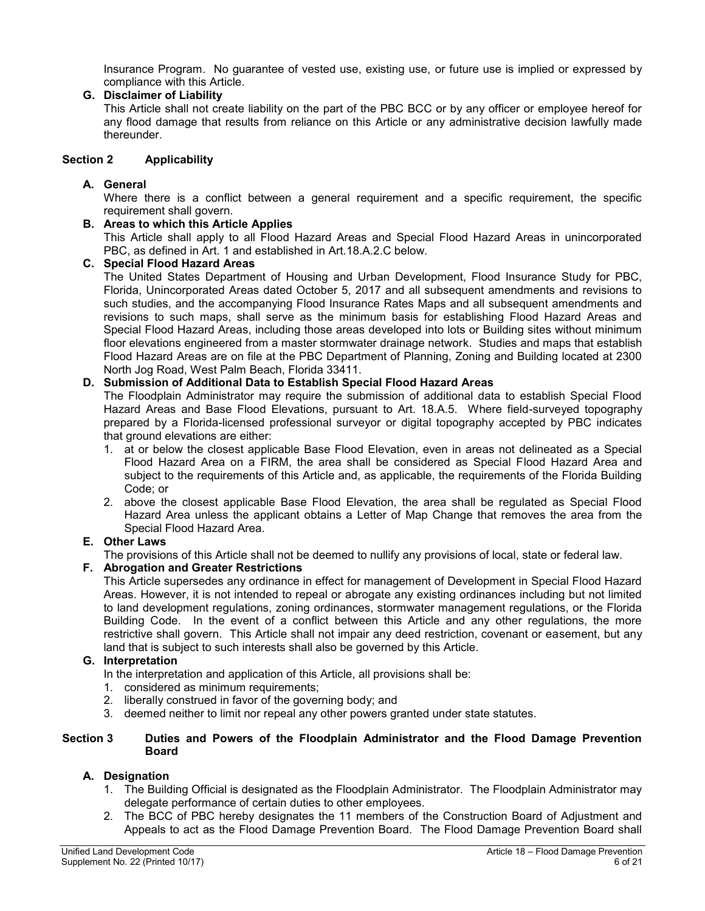Insurance Program. No guarantee of vested use, existing use, or future use is implied or expressed by compliance with this Article.

## <span id="page-5-0"></span>**G. Disclaimer of Liability**

This Article shall not create liability on the part of the PBC BCC or by any officer or employee hereof for any flood damage that results from reliance on this Article or any administrative decision lawfully made thereunder.

## <span id="page-5-1"></span>**Section 2 Applicability**

## <span id="page-5-2"></span>**A. General**

Where there is a conflict between a general requirement and a specific requirement, the specific requirement shall govern.

## <span id="page-5-3"></span>**B. Areas to which this Article Applies**

This Article shall apply to all Flood Hazard Areas and Special Flood Hazard Areas in unincorporated PBC, as defined in Art. 1 and established in Art.18.A.2.C below.

## <span id="page-5-4"></span>**C. Special Flood Hazard Areas**

The United States Department of Housing and Urban Development, Flood Insurance Study for PBC, Florida, Unincorporated Areas dated October 5, 2017 and all subsequent amendments and revisions to such studies, and the accompanying Flood Insurance Rates Maps and all subsequent amendments and revisions to such maps, shall serve as the minimum basis for establishing Flood Hazard Areas and Special Flood Hazard Areas, including those areas developed into lots or Building sites without minimum floor elevations engineered from a master stormwater drainage network. Studies and maps that establish Flood Hazard Areas are on file at the PBC Department of Planning, Zoning and Building located at 2300 North Jog Road, West Palm Beach, Florida 33411.

## <span id="page-5-5"></span>**D. Submission of Additional Data to Establish Special Flood Hazard Areas**

The Floodplain Administrator may require the submission of additional data to establish Special Flood Hazard Areas and Base Flood Elevations, pursuant to Art. 18.A.5. Where field-surveyed topography prepared by a Florida-licensed professional surveyor or digital topography accepted by PBC indicates that ground elevations are either:

- 1. at or below the closest applicable Base Flood Elevation, even in areas not delineated as a Special Flood Hazard Area on a FIRM, the area shall be considered as Special Flood Hazard Area and subject to the requirements of this Article and, as applicable, the requirements of the Florida Building Code; or
- 2. above the closest applicable Base Flood Elevation, the area shall be regulated as Special Flood Hazard Area unless the applicant obtains a Letter of Map Change that removes the area from the Special Flood Hazard Area.

## <span id="page-5-6"></span>**E. Other Laws**

The provisions of this Article shall not be deemed to nullify any provisions of local, state or federal law.

## <span id="page-5-7"></span>**F. Abrogation and Greater Restrictions**

This Article supersedes any ordinance in effect for management of Development in Special Flood Hazard Areas. However, it is not intended to repeal or abrogate any existing ordinances including but not limited to land development regulations, zoning ordinances, stormwater management regulations, or the Florida Building Code. In the event of a conflict between this Article and any other regulations, the more restrictive shall govern. This Article shall not impair any deed restriction, covenant or easement, but any land that is subject to such interests shall also be governed by this Article.

#### <span id="page-5-8"></span>**G. Interpretation**

In the interpretation and application of this Article, all provisions shall be:

- 1. considered as minimum requirements;
- 2. liberally construed in favor of the governing body; and
- 3. deemed neither to limit nor repeal any other powers granted under state statutes.

#### <span id="page-5-9"></span>**Section 3 Duties and Powers of the Floodplain Administrator and the Flood Damage Prevention Board**

## <span id="page-5-10"></span>**A. Designation**

- 1. The Building Official is designated as the Floodplain Administrator. The Floodplain Administrator may delegate performance of certain duties to other employees.
- 2. The BCC of PBC hereby designates the 11 members of the Construction Board of Adjustment and Appeals to act as the Flood Damage Prevention Board. The Flood Damage Prevention Board shall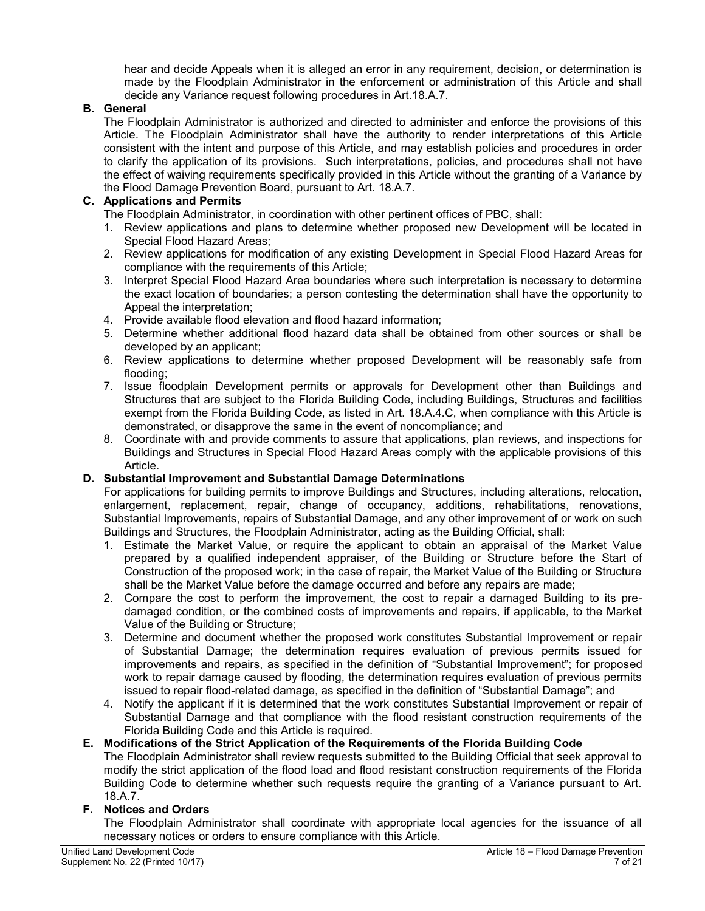hear and decide Appeals when it is alleged an error in any requirement, decision, or determination is made by the Floodplain Administrator in the enforcement or administration of this Article and shall decide any Variance request following procedures in Art.18.A.7.

# <span id="page-6-0"></span>**B. General**

The Floodplain Administrator is authorized and directed to administer and enforce the provisions of this Article. The Floodplain Administrator shall have the authority to render interpretations of this Article consistent with the intent and purpose of this Article, and may establish policies and procedures in order to clarify the application of its provisions. Such interpretations, policies, and procedures shall not have the effect of waiving requirements specifically provided in this Article without the granting of a Variance by the Flood Damage Prevention Board, pursuant to Art. 18.A.7.

# <span id="page-6-1"></span>**C. Applications and Permits**

The Floodplain Administrator, in coordination with other pertinent offices of PBC, shall:

- 1. Review applications and plans to determine whether proposed new Development will be located in Special Flood Hazard Areas;
- 2. Review applications for modification of any existing Development in Special Flood Hazard Areas for compliance with the requirements of this Article;
- 3. Interpret Special Flood Hazard Area boundaries where such interpretation is necessary to determine the exact location of boundaries; a person contesting the determination shall have the opportunity to Appeal the interpretation;
- 4. Provide available flood elevation and flood hazard information;
- 5. Determine whether additional flood hazard data shall be obtained from other sources or shall be developed by an applicant;
- 6. Review applications to determine whether proposed Development will be reasonably safe from flooding;
- 7. Issue floodplain Development permits or approvals for Development other than Buildings and Structures that are subject to the Florida Building Code, including Buildings, Structures and facilities exempt from the Florida Building Code, as listed in Art. 18.A.4.C, when compliance with this Article is demonstrated, or disapprove the same in the event of noncompliance; and
- 8. Coordinate with and provide comments to assure that applications, plan reviews, and inspections for Buildings and Structures in Special Flood Hazard Areas comply with the applicable provisions of this Article.

## <span id="page-6-2"></span>**D. Substantial Improvement and Substantial Damage Determinations**

For applications for building permits to improve Buildings and Structures, including alterations, relocation, enlargement, replacement, repair, change of occupancy, additions, rehabilitations, renovations, Substantial Improvements, repairs of Substantial Damage, and any other improvement of or work on such Buildings and Structures, the Floodplain Administrator, acting as the Building Official, shall:

- 1. Estimate the Market Value, or require the applicant to obtain an appraisal of the Market Value prepared by a qualified independent appraiser, of the Building or Structure before the Start of Construction of the proposed work; in the case of repair, the Market Value of the Building or Structure shall be the Market Value before the damage occurred and before any repairs are made;
- 2. Compare the cost to perform the improvement, the cost to repair a damaged Building to its predamaged condition, or the combined costs of improvements and repairs, if applicable, to the Market Value of the Building or Structure;
- 3. Determine and document whether the proposed work constitutes Substantial Improvement or repair of Substantial Damage; the determination requires evaluation of previous permits issued for improvements and repairs, as specified in the definition of "Substantial Improvement"; for proposed work to repair damage caused by flooding, the determination requires evaluation of previous permits issued to repair flood-related damage, as specified in the definition of "Substantial Damage"; and
- 4. Notify the applicant if it is determined that the work constitutes Substantial Improvement or repair of Substantial Damage and that compliance with the flood resistant construction requirements of the Florida Building Code and this Article is required.

# <span id="page-6-3"></span>**E. Modifications of the Strict Application of the Requirements of the Florida Building Code**

The Floodplain Administrator shall review requests submitted to the Building Official that seek approval to modify the strict application of the flood load and flood resistant construction requirements of the Florida Building Code to determine whether such requests require the granting of a Variance pursuant to Art. 18.A.7.

## <span id="page-6-4"></span>**F. Notices and Orders**

The Floodplain Administrator shall coordinate with appropriate local agencies for the issuance of all necessary notices or orders to ensure compliance with this Article.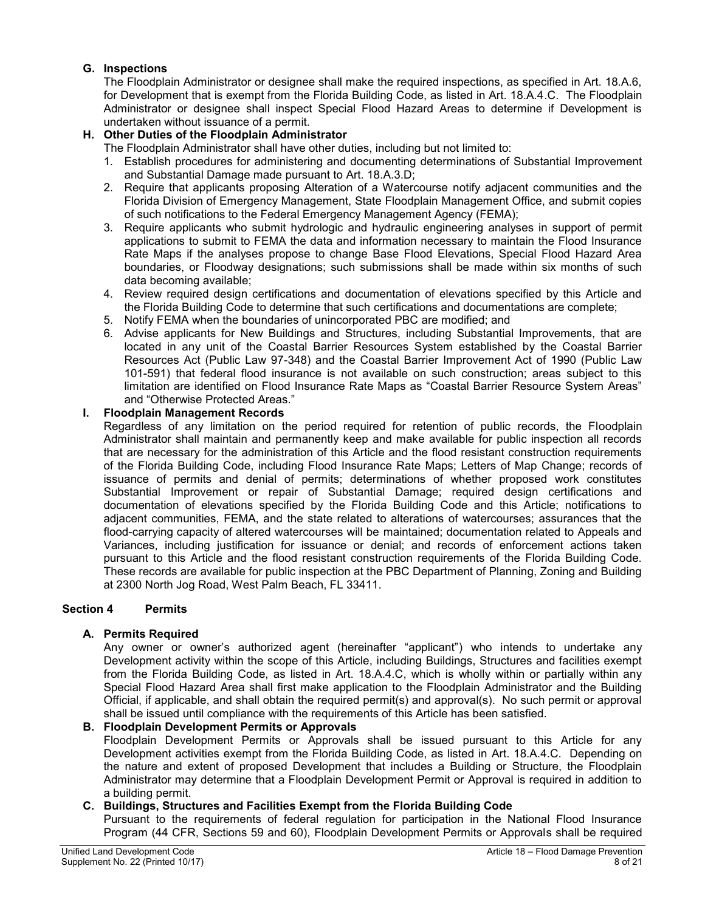# <span id="page-7-0"></span>**G. Inspections**

The Floodplain Administrator or designee shall make the required inspections, as specified in Art. 18.A.6, for Development that is exempt from the Florida Building Code, as listed in Art. 18.A.4.C. The Floodplain Administrator or designee shall inspect Special Flood Hazard Areas to determine if Development is undertaken without issuance of a permit.

# <span id="page-7-1"></span>**H. Other Duties of the Floodplain Administrator**

The Floodplain Administrator shall have other duties, including but not limited to:

- 1. Establish procedures for administering and documenting determinations of Substantial Improvement and Substantial Damage made pursuant to Art. 18.A.3.D;
- 2. Require that applicants proposing Alteration of a Watercourse notify adjacent communities and the Florida Division of Emergency Management, State Floodplain Management Office, and submit copies of such notifications to the Federal Emergency Management Agency (FEMA);
- 3. Require applicants who submit hydrologic and hydraulic engineering analyses in support of permit applications to submit to FEMA the data and information necessary to maintain the Flood Insurance Rate Maps if the analyses propose to change Base Flood Elevations, Special Flood Hazard Area boundaries, or Floodway designations; such submissions shall be made within six months of such data becoming available;
- 4. Review required design certifications and documentation of elevations specified by this Article and the Florida Building Code to determine that such certifications and documentations are complete;
- 5. Notify FEMA when the boundaries of unincorporated PBC are modified; and
- 6. Advise applicants for New Buildings and Structures, including Substantial Improvements, that are located in any unit of the Coastal Barrier Resources System established by the Coastal Barrier Resources Act (Public Law 97-348) and the Coastal Barrier Improvement Act of 1990 (Public Law 101-591) that federal flood insurance is not available on such construction; areas subject to this limitation are identified on Flood Insurance Rate Maps as "Coastal Barrier Resource System Areas" and "Otherwise Protected Areas."

## <span id="page-7-2"></span>**I. Floodplain Management Records**

Regardless of any limitation on the period required for retention of public records, the Floodplain Administrator shall maintain and permanently keep and make available for public inspection all records that are necessary for the administration of this Article and the flood resistant construction requirements of the Florida Building Code, including Flood Insurance Rate Maps; Letters of Map Change; records of issuance of permits and denial of permits; determinations of whether proposed work constitutes Substantial Improvement or repair of Substantial Damage; required design certifications and documentation of elevations specified by the Florida Building Code and this Article; notifications to adjacent communities, FEMA, and the state related to alterations of watercourses; assurances that the flood-carrying capacity of altered watercourses will be maintained; documentation related to Appeals and Variances, including justification for issuance or denial; and records of enforcement actions taken pursuant to this Article and the flood resistant construction requirements of the Florida Building Code. These records are available for public inspection at the PBC Department of Planning, Zoning and Building at 2300 North Jog Road, West Palm Beach, FL 33411.

## <span id="page-7-3"></span>**Section 4 Permits**

## <span id="page-7-4"></span>**A. Permits Required**

Any owner or owner's authorized agent (hereinafter "applicant") who intends to undertake any Development activity within the scope of this Article, including Buildings, Structures and facilities exempt from the Florida Building Code, as listed in Art. 18.A.4.C, which is wholly within or partially within any Special Flood Hazard Area shall first make application to the Floodplain Administrator and the Building Official, if applicable, and shall obtain the required permit(s) and approval(s). No such permit or approval shall be issued until compliance with the requirements of this Article has been satisfied.

## <span id="page-7-5"></span>**B. Floodplain Development Permits or Approvals**

Floodplain Development Permits or Approvals shall be issued pursuant to this Article for any Development activities exempt from the Florida Building Code, as listed in Art. 18.A.4.C. Depending on the nature and extent of proposed Development that includes a Building or Structure, the Floodplain Administrator may determine that a Floodplain Development Permit or Approval is required in addition to a building permit.

## <span id="page-7-6"></span>**C. Buildings, Structures and Facilities Exempt from the Florida Building Code**

Pursuant to the requirements of federal regulation for participation in the National Flood Insurance Program (44 CFR, Sections 59 and 60), Floodplain Development Permits or Approvals shall be required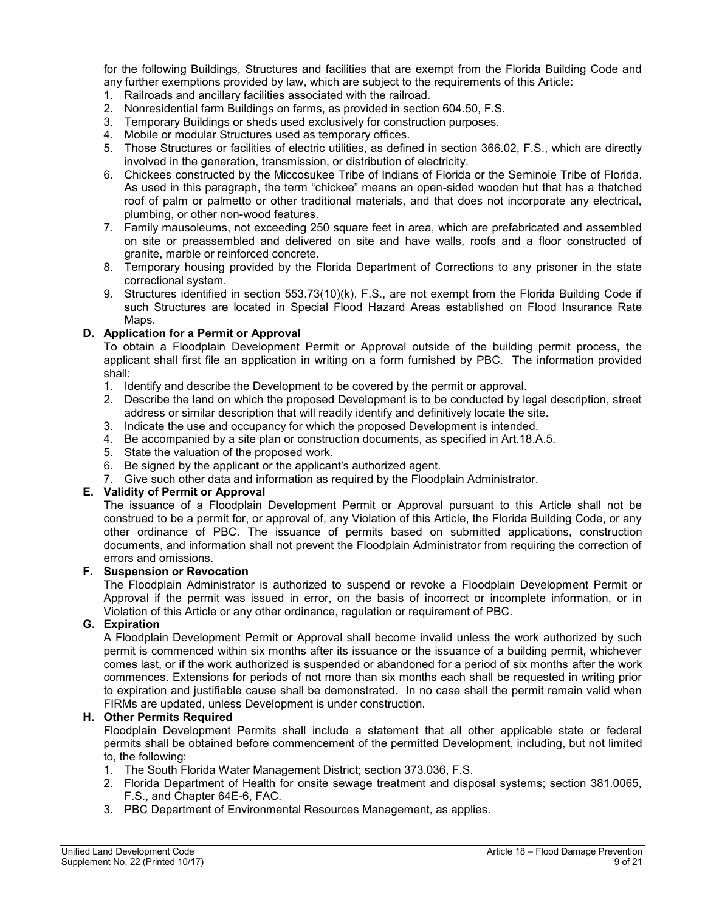for the following Buildings, Structures and facilities that are exempt from the Florida Building Code and any further exemptions provided by law, which are subject to the requirements of this Article:

- 1. Railroads and ancillary facilities associated with the railroad.
- 2. Nonresidential farm Buildings on farms, as provided in section 604.50, F.S.
- 3. Temporary Buildings or sheds used exclusively for construction purposes.
- 4. Mobile or modular Structures used as temporary offices.
- 5. Those Structures or facilities of electric utilities, as defined in section 366.02, F.S., which are directly involved in the generation, transmission, or distribution of electricity.
- 6. Chickees constructed by the Miccosukee Tribe of Indians of Florida or the Seminole Tribe of Florida. As used in this paragraph, the term "chickee" means an open-sided wooden hut that has a thatched roof of palm or palmetto or other traditional materials, and that does not incorporate any electrical, plumbing, or other non-wood features.
- 7. Family mausoleums, not exceeding 250 square feet in area, which are prefabricated and assembled on site or preassembled and delivered on site and have walls, roofs and a floor constructed of granite, marble or reinforced concrete.
- 8. Temporary housing provided by the Florida Department of Corrections to any prisoner in the state correctional system.
- 9. Structures identified in section 553.73(10)(k), F.S., are not exempt from the Florida Building Code if such Structures are located in Special Flood Hazard Areas established on Flood Insurance Rate Maps.

## <span id="page-8-0"></span>**D. Application for a Permit or Approval**

To obtain a Floodplain Development Permit or Approval outside of the building permit process, the applicant shall first file an application in writing on a form furnished by PBC. The information provided shall:

- 1. Identify and describe the Development to be covered by the permit or approval.
- 2. Describe the land on which the proposed Development is to be conducted by legal description, street address or similar description that will readily identify and definitively locate the site.
- 3. Indicate the use and occupancy for which the proposed Development is intended.
- 4. Be accompanied by a site plan or construction documents, as specified in Art.18.A.5.
- 5. State the valuation of the proposed work.
- 6. Be signed by the applicant or the applicant's authorized agent.
- 7. Give such other data and information as required by the Floodplain Administrator.

## <span id="page-8-1"></span>**E. Validity of Permit or Approval**

The issuance of a Floodplain Development Permit or Approval pursuant to this Article shall not be construed to be a permit for, or approval of, any Violation of this Article, the Florida Building Code, or any other ordinance of PBC. The issuance of permits based on submitted applications, construction documents, and information shall not prevent the Floodplain Administrator from requiring the correction of errors and omissions.

## <span id="page-8-2"></span>**F. Suspension or Revocation**

The Floodplain Administrator is authorized to suspend or revoke a Floodplain Development Permit or Approval if the permit was issued in error, on the basis of incorrect or incomplete information, or in Violation of this Article or any other ordinance, regulation or requirement of PBC.

# <span id="page-8-3"></span>**G. Expiration**

A Floodplain Development Permit or Approval shall become invalid unless the work authorized by such permit is commenced within six months after its issuance or the issuance of a building permit, whichever comes last, or if the work authorized is suspended or abandoned for a period of six months after the work commences. Extensions for periods of not more than six months each shall be requested in writing prior to expiration and justifiable cause shall be demonstrated. In no case shall the permit remain valid when FIRMs are updated, unless Development is under construction.

## <span id="page-8-4"></span>**H. Other Permits Required**

Floodplain Development Permits shall include a statement that all other applicable state or federal permits shall be obtained before commencement of the permitted Development, including, but not limited to, the following:

- 1. The South Florida Water Management District; section 373.036, F.S.
- 2. Florida Department of Health for onsite sewage treatment and disposal systems; section 381.0065, F.S., and Chapter 64E-6, FAC.
- 3. PBC Department of Environmental Resources Management, as applies.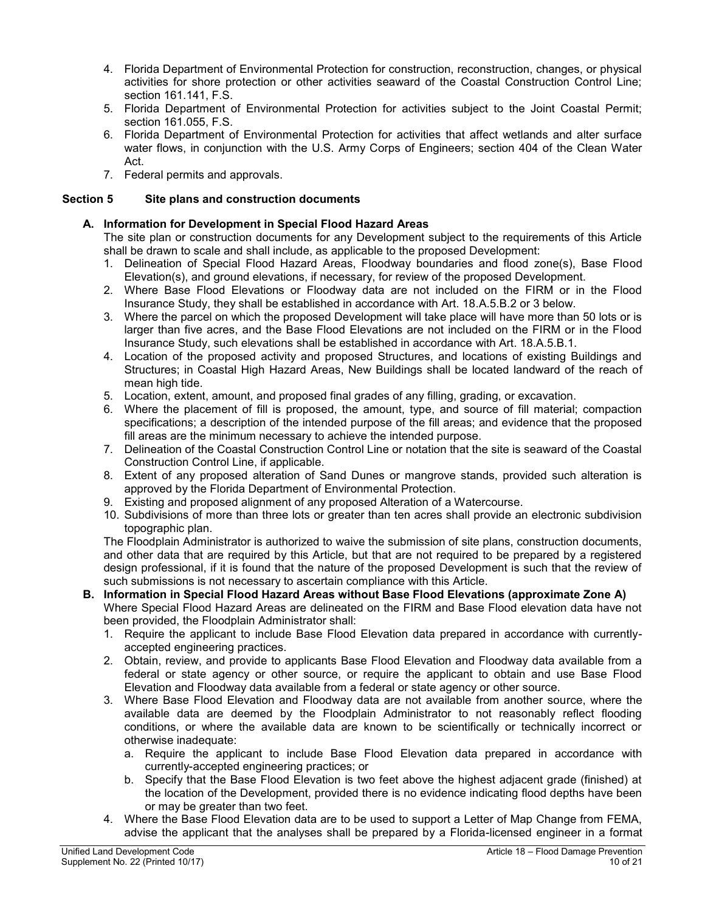- 4. Florida Department of Environmental Protection for construction, reconstruction, changes, or physical activities for shore protection or other activities seaward of the Coastal Construction Control Line; section 161.141, F.S.
- 5. Florida Department of Environmental Protection for activities subject to the Joint Coastal Permit; section 161.055, F.S.
- 6. Florida Department of Environmental Protection for activities that affect wetlands and alter surface water flows, in conjunction with the U.S. Army Corps of Engineers; section 404 of the Clean Water Act.
- 7. Federal permits and approvals.

# <span id="page-9-0"></span>**Section 5 Site plans and construction documents**

# <span id="page-9-1"></span>**A. Information for Development in Special Flood Hazard Areas**

The site plan or construction documents for any Development subject to the requirements of this Article shall be drawn to scale and shall include, as applicable to the proposed Development:

- 1. Delineation of Special Flood Hazard Areas, Floodway boundaries and flood zone(s), Base Flood Elevation(s), and ground elevations, if necessary, for review of the proposed Development.
- 2. Where Base Flood Elevations or Floodway data are not included on the FIRM or in the Flood Insurance Study, they shall be established in accordance with Art. 18.A.5.B.2 or 3 below.
- 3. Where the parcel on which the proposed Development will take place will have more than 50 lots or is larger than five acres, and the Base Flood Elevations are not included on the FIRM or in the Flood Insurance Study, such elevations shall be established in accordance with Art. 18.A.5.B.1.
- 4. Location of the proposed activity and proposed Structures, and locations of existing Buildings and Structures; in Coastal High Hazard Areas, New Buildings shall be located landward of the reach of mean high tide.
- 5. Location, extent, amount, and proposed final grades of any filling, grading, or excavation.
- 6. Where the placement of fill is proposed, the amount, type, and source of fill material; compaction specifications; a description of the intended purpose of the fill areas; and evidence that the proposed fill areas are the minimum necessary to achieve the intended purpose.
- 7. Delineation of the Coastal Construction Control Line or notation that the site is seaward of the Coastal Construction Control Line, if applicable.
- 8. Extent of any proposed alteration of Sand Dunes or mangrove stands, provided such alteration is approved by the Florida Department of Environmental Protection.
- 9. Existing and proposed alignment of any proposed Alteration of a Watercourse.
- 10. Subdivisions of more than three lots or greater than ten acres shall provide an electronic subdivision topographic plan.

The Floodplain Administrator is authorized to waive the submission of site plans, construction documents, and other data that are required by this Article, but that are not required to be prepared by a registered design professional, if it is found that the nature of the proposed Development is such that the review of such submissions is not necessary to ascertain compliance with this Article.

# <span id="page-9-2"></span>**B. Information in Special Flood Hazard Areas without Base Flood Elevations (approximate Zone A)**

Where Special Flood Hazard Areas are delineated on the FIRM and Base Flood elevation data have not been provided, the Floodplain Administrator shall:

- 1. Require the applicant to include Base Flood Elevation data prepared in accordance with currentlyaccepted engineering practices.
- 2. Obtain, review, and provide to applicants Base Flood Elevation and Floodway data available from a federal or state agency or other source, or require the applicant to obtain and use Base Flood Elevation and Floodway data available from a federal or state agency or other source.
- 3. Where Base Flood Elevation and Floodway data are not available from another source, where the available data are deemed by the Floodplain Administrator to not reasonably reflect flooding conditions, or where the available data are known to be scientifically or technically incorrect or otherwise inadequate:
	- a. Require the applicant to include Base Flood Elevation data prepared in accordance with currently-accepted engineering practices; or
	- b. Specify that the Base Flood Elevation is two feet above the highest adjacent grade (finished) at the location of the Development, provided there is no evidence indicating flood depths have been or may be greater than two feet.
- 4. Where the Base Flood Elevation data are to be used to support a Letter of Map Change from FEMA, advise the applicant that the analyses shall be prepared by a Florida-licensed engineer in a format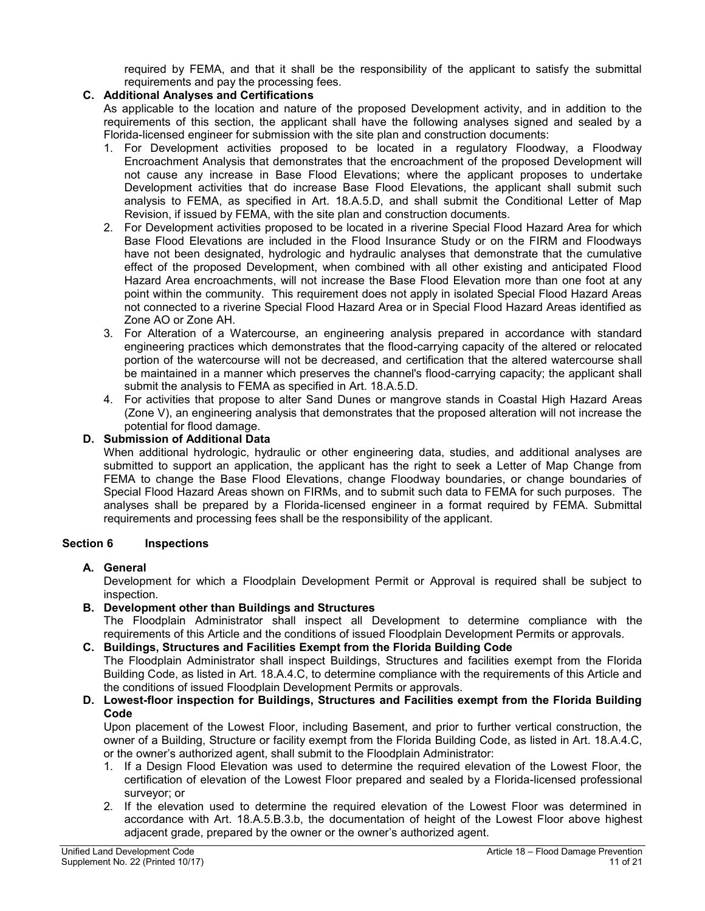required by FEMA, and that it shall be the responsibility of the applicant to satisfy the submittal requirements and pay the processing fees.

## <span id="page-10-0"></span>**C. Additional Analyses and Certifications**

As applicable to the location and nature of the proposed Development activity, and in addition to the requirements of this section, the applicant shall have the following analyses signed and sealed by a Florida-licensed engineer for submission with the site plan and construction documents:

- 1. For Development activities proposed to be located in a regulatory Floodway, a Floodway Encroachment Analysis that demonstrates that the encroachment of the proposed Development will not cause any increase in Base Flood Elevations; where the applicant proposes to undertake Development activities that do increase Base Flood Elevations, the applicant shall submit such analysis to FEMA, as specified in Art. 18.A.5.D, and shall submit the Conditional Letter of Map Revision, if issued by FEMA, with the site plan and construction documents.
- 2. For Development activities proposed to be located in a riverine Special Flood Hazard Area for which Base Flood Elevations are included in the Flood Insurance Study or on the FIRM and Floodways have not been designated, hydrologic and hydraulic analyses that demonstrate that the cumulative effect of the proposed Development, when combined with all other existing and anticipated Flood Hazard Area encroachments, will not increase the Base Flood Elevation more than one foot at any point within the community. This requirement does not apply in isolated Special Flood Hazard Areas not connected to a riverine Special Flood Hazard Area or in Special Flood Hazard Areas identified as Zone AO or Zone AH.
- 3. For Alteration of a Watercourse, an engineering analysis prepared in accordance with standard engineering practices which demonstrates that the flood-carrying capacity of the altered or relocated portion of the watercourse will not be decreased, and certification that the altered watercourse shall be maintained in a manner which preserves the channel's flood-carrying capacity; the applicant shall submit the analysis to FEMA as specified in Art. 18.A.5.D.
- 4. For activities that propose to alter Sand Dunes or mangrove stands in Coastal High Hazard Areas (Zone V), an engineering analysis that demonstrates that the proposed alteration will not increase the potential for flood damage.

## <span id="page-10-1"></span>**D. Submission of Additional Data**

When additional hydrologic, hydraulic or other engineering data, studies, and additional analyses are submitted to support an application, the applicant has the right to seek a Letter of Map Change from FEMA to change the Base Flood Elevations, change Floodway boundaries, or change boundaries of Special Flood Hazard Areas shown on FIRMs, and to submit such data to FEMA for such purposes. The analyses shall be prepared by a Florida-licensed engineer in a format required by FEMA. Submittal requirements and processing fees shall be the responsibility of the applicant.

## <span id="page-10-2"></span>**Section 6 Inspections**

## <span id="page-10-3"></span>**A. General**

Development for which a Floodplain Development Permit or Approval is required shall be subject to inspection.

## <span id="page-10-4"></span>**B. Development other than Buildings and Structures**

The Floodplain Administrator shall inspect all Development to determine compliance with the requirements of this Article and the conditions of issued Floodplain Development Permits or approvals.

## <span id="page-10-5"></span>**C. Buildings, Structures and Facilities Exempt from the Florida Building Code**

The Floodplain Administrator shall inspect Buildings, Structures and facilities exempt from the Florida Building Code, as listed in Art. 18.A.4.C, to determine compliance with the requirements of this Article and the conditions of issued Floodplain Development Permits or approvals.

## <span id="page-10-6"></span>**D. Lowest-floor inspection for Buildings, Structures and Facilities exempt from the Florida Building Code**

Upon placement of the Lowest Floor, including Basement, and prior to further vertical construction, the owner of a Building, Structure or facility exempt from the Florida Building Code, as listed in Art. 18.A.4.C, or the owner's authorized agent, shall submit to the Floodplain Administrator:

- 1. If a Design Flood Elevation was used to determine the required elevation of the Lowest Floor, the certification of elevation of the Lowest Floor prepared and sealed by a Florida-licensed professional surveyor; or
- 2. If the elevation used to determine the required elevation of the Lowest Floor was determined in accordance with Art. 18.A.5.B.3.b, the documentation of height of the Lowest Floor above highest adjacent grade, prepared by the owner or the owner's authorized agent.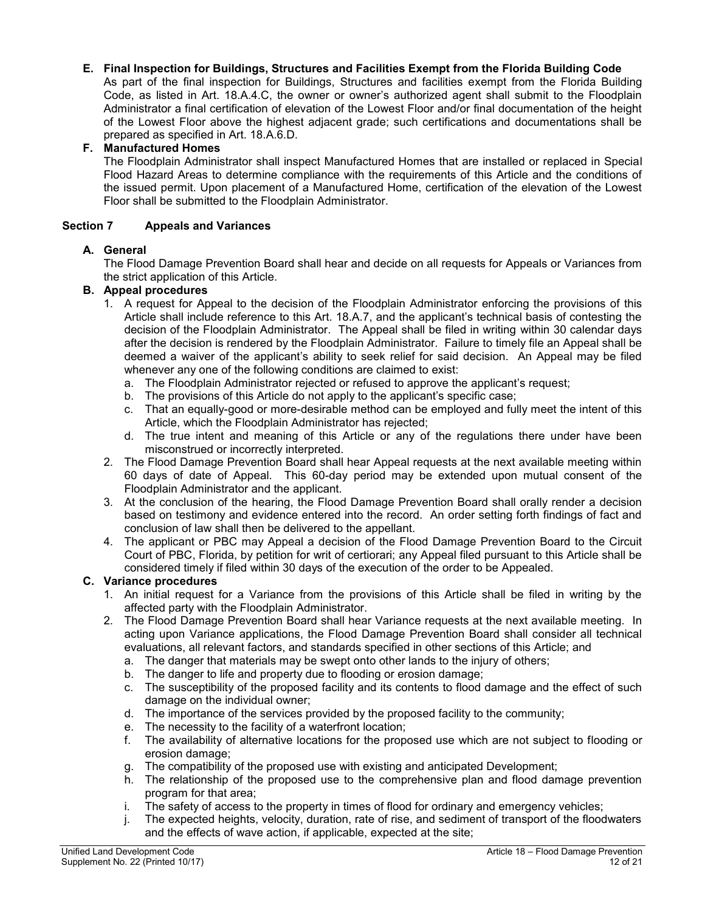## <span id="page-11-0"></span>**E. Final Inspection for Buildings, Structures and Facilities Exempt from the Florida Building Code**

As part of the final inspection for Buildings, Structures and facilities exempt from the Florida Building Code, as listed in Art. 18.A.4.C, the owner or owner's authorized agent shall submit to the Floodplain Administrator a final certification of elevation of the Lowest Floor and/or final documentation of the height of the Lowest Floor above the highest adjacent grade; such certifications and documentations shall be prepared as specified in Art. 18.A.6.D.

## <span id="page-11-1"></span>**F. Manufactured Homes**

The Floodplain Administrator shall inspect Manufactured Homes that are installed or replaced in Special Flood Hazard Areas to determine compliance with the requirements of this Article and the conditions of the issued permit. Upon placement of a Manufactured Home, certification of the elevation of the Lowest Floor shall be submitted to the Floodplain Administrator.

## <span id="page-11-2"></span>**Section 7 Appeals and Variances**

## <span id="page-11-3"></span>**A. General**

The Flood Damage Prevention Board shall hear and decide on all requests for Appeals or Variances from the strict application of this Article.

## <span id="page-11-4"></span>**B. Appeal procedures**

- 1. A request for Appeal to the decision of the Floodplain Administrator enforcing the provisions of this Article shall include reference to this Art. 18.A.7, and the applicant's technical basis of contesting the decision of the Floodplain Administrator. The Appeal shall be filed in writing within 30 calendar days after the decision is rendered by the Floodplain Administrator. Failure to timely file an Appeal shall be deemed a waiver of the applicant's ability to seek relief for said decision. An Appeal may be filed whenever any one of the following conditions are claimed to exist:
	- a. The Floodplain Administrator rejected or refused to approve the applicant's request;
	- b. The provisions of this Article do not apply to the applicant's specific case;
	- c. That an equally-good or more-desirable method can be employed and fully meet the intent of this Article, which the Floodplain Administrator has rejected;
	- d. The true intent and meaning of this Article or any of the regulations there under have been misconstrued or incorrectly interpreted.
- 2. The Flood Damage Prevention Board shall hear Appeal requests at the next available meeting within 60 days of date of Appeal. This 60-day period may be extended upon mutual consent of the Floodplain Administrator and the applicant.
- 3. At the conclusion of the hearing, the Flood Damage Prevention Board shall orally render a decision based on testimony and evidence entered into the record. An order setting forth findings of fact and conclusion of law shall then be delivered to the appellant.
- 4. The applicant or PBC may Appeal a decision of the Flood Damage Prevention Board to the Circuit Court of PBC, Florida, by petition for writ of certiorari; any Appeal filed pursuant to this Article shall be considered timely if filed within 30 days of the execution of the order to be Appealed.

## <span id="page-11-5"></span>**C. Variance procedures**

- 1. An initial request for a Variance from the provisions of this Article shall be filed in writing by the affected party with the Floodplain Administrator.
- 2. The Flood Damage Prevention Board shall hear Variance requests at the next available meeting. In acting upon Variance applications, the Flood Damage Prevention Board shall consider all technical evaluations, all relevant factors, and standards specified in other sections of this Article; and
	- a. The danger that materials may be swept onto other lands to the injury of others;
	- b. The danger to life and property due to flooding or erosion damage;
	- c. The susceptibility of the proposed facility and its contents to flood damage and the effect of such damage on the individual owner;
	- d. The importance of the services provided by the proposed facility to the community;
	- e. The necessity to the facility of a waterfront location;
	- f. The availability of alternative locations for the proposed use which are not subject to flooding or erosion damage;
	- g. The compatibility of the proposed use with existing and anticipated Development;
	- h. The relationship of the proposed use to the comprehensive plan and flood damage prevention program for that area;
	- i. The safety of access to the property in times of flood for ordinary and emergency vehicles;
	- j. The expected heights, velocity, duration, rate of rise, and sediment of transport of the floodwaters and the effects of wave action, if applicable, expected at the site;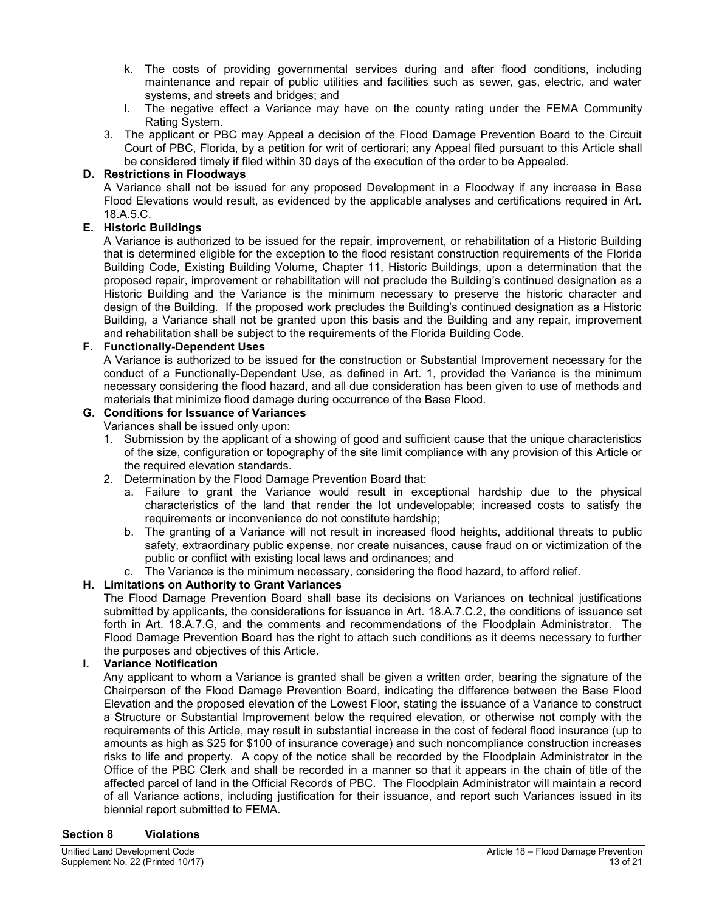- k. The costs of providing governmental services during and after flood conditions, including maintenance and repair of public utilities and facilities such as sewer, gas, electric, and water systems, and streets and bridges; and
- l. The negative effect a Variance may have on the county rating under the FEMA Community Rating System.
- 3. The applicant or PBC may Appeal a decision of the Flood Damage Prevention Board to the Circuit Court of PBC, Florida, by a petition for writ of certiorari; any Appeal filed pursuant to this Article shall be considered timely if filed within 30 days of the execution of the order to be Appealed.

## <span id="page-12-0"></span>**D. Restrictions in Floodways**

A Variance shall not be issued for any proposed Development in a Floodway if any increase in Base Flood Elevations would result, as evidenced by the applicable analyses and certifications required in Art. 18.A.5.C.

# <span id="page-12-1"></span>**E. Historic Buildings**

A Variance is authorized to be issued for the repair, improvement, or rehabilitation of a Historic Building that is determined eligible for the exception to the flood resistant construction requirements of the Florida Building Code, Existing Building Volume, Chapter 11, Historic Buildings, upon a determination that the proposed repair, improvement or rehabilitation will not preclude the Building's continued designation as a Historic Building and the Variance is the minimum necessary to preserve the historic character and design of the Building. If the proposed work precludes the Building's continued designation as a Historic Building, a Variance shall not be granted upon this basis and the Building and any repair, improvement and rehabilitation shall be subject to the requirements of the Florida Building Code.

## <span id="page-12-2"></span>**F. Functionally-Dependent Uses**

A Variance is authorized to be issued for the construction or Substantial Improvement necessary for the conduct of a Functionally-Dependent Use, as defined in Art. 1, provided the Variance is the minimum necessary considering the flood hazard, and all due consideration has been given to use of methods and materials that minimize flood damage during occurrence of the Base Flood.

## <span id="page-12-3"></span>**G. Conditions for Issuance of Variances**

Variances shall be issued only upon:

- 1. Submission by the applicant of a showing of good and sufficient cause that the unique characteristics of the size, configuration or topography of the site limit compliance with any provision of this Article or the required elevation standards.
- 2. Determination by the Flood Damage Prevention Board that:
	- a. Failure to grant the Variance would result in exceptional hardship due to the physical characteristics of the land that render the lot undevelopable; increased costs to satisfy the requirements or inconvenience do not constitute hardship;
	- b. The granting of a Variance will not result in increased flood heights, additional threats to public safety, extraordinary public expense, nor create nuisances, cause fraud on or victimization of the public or conflict with existing local laws and ordinances; and

## c. The Variance is the minimum necessary, considering the flood hazard, to afford relief.

## <span id="page-12-4"></span>**H. Limitations on Authority to Grant Variances**

The Flood Damage Prevention Board shall base its decisions on Variances on technical justifications submitted by applicants, the considerations for issuance in Art. 18.A.7.C.2, the conditions of issuance set forth in Art. 18.A.7.G, and the comments and recommendations of the Floodplain Administrator. The Flood Damage Prevention Board has the right to attach such conditions as it deems necessary to further the purposes and objectives of this Article.

# <span id="page-12-5"></span>**I. Variance Notification**

Any applicant to whom a Variance is granted shall be given a written order, bearing the signature of the Chairperson of the Flood Damage Prevention Board, indicating the difference between the Base Flood Elevation and the proposed elevation of the Lowest Floor, stating the issuance of a Variance to construct a Structure or Substantial Improvement below the required elevation, or otherwise not comply with the requirements of this Article, may result in substantial increase in the cost of federal flood insurance (up to amounts as high as \$25 for \$100 of insurance coverage) and such noncompliance construction increases risks to life and property. A copy of the notice shall be recorded by the Floodplain Administrator in the Office of the PBC Clerk and shall be recorded in a manner so that it appears in the chain of title of the affected parcel of land in the Official Records of PBC. The Floodplain Administrator will maintain a record of all Variance actions, including justification for their issuance, and report such Variances issued in its biennial report submitted to FEMA.

#### <span id="page-12-6"></span>**Section 8 Violations**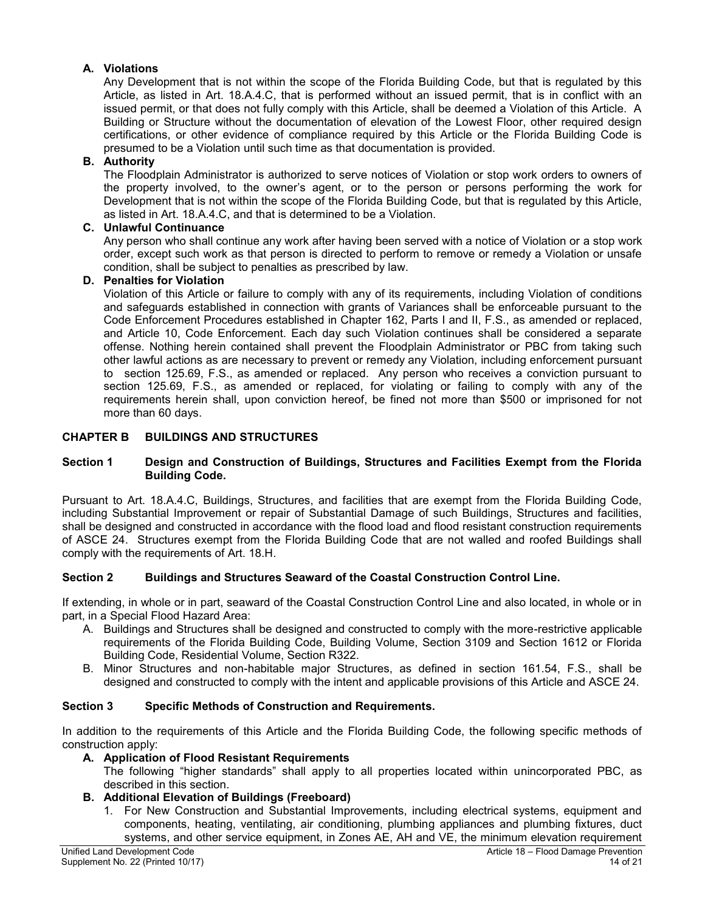# <span id="page-13-0"></span>**A. Violations**

Any Development that is not within the scope of the Florida Building Code, but that is regulated by this Article, as listed in Art. 18.A.4.C, that is performed without an issued permit, that is in conflict with an issued permit, or that does not fully comply with this Article, shall be deemed a Violation of this Article. A Building or Structure without the documentation of elevation of the Lowest Floor, other required design certifications, or other evidence of compliance required by this Article or the Florida Building Code is presumed to be a Violation until such time as that documentation is provided.

## <span id="page-13-1"></span>**B. Authority**

The Floodplain Administrator is authorized to serve notices of Violation or stop work orders to owners of the property involved, to the owner's agent, or to the person or persons performing the work for Development that is not within the scope of the Florida Building Code, but that is regulated by this Article, as listed in Art. 18.A.4.C, and that is determined to be a Violation.

## <span id="page-13-2"></span>**C. Unlawful Continuance**

Any person who shall continue any work after having been served with a notice of Violation or a stop work order, except such work as that person is directed to perform to remove or remedy a Violation or unsafe condition, shall be subject to penalties as prescribed by law.

## <span id="page-13-3"></span>**D. Penalties for Violation**

Violation of this Article or failure to comply with any of its requirements, including Violation of conditions and safeguards established in connection with grants of Variances shall be enforceable pursuant to the Code Enforcement Procedures established in Chapter 162, Parts I and II, F.S., as amended or replaced, and Article 10, Code Enforcement. Each day such Violation continues shall be considered a separate offense. Nothing herein contained shall prevent the Floodplain Administrator or PBC from taking such other lawful actions as are necessary to prevent or remedy any Violation, including enforcement pursuant to section 125.69, F.S., as amended or replaced. Any person who receives a conviction pursuant to section 125.69, F.S., as amended or replaced, for violating or failing to comply with any of the requirements herein shall, upon conviction hereof, be fined not more than \$500 or imprisoned for not more than 60 days.

# <span id="page-13-4"></span>**CHAPTER B BUILDINGS AND STRUCTURES**

## <span id="page-13-5"></span>**Section 1 Design and Construction of Buildings, Structures and Facilities Exempt from the Florida Building Code.**

Pursuant to Art. 18.A.4.C, Buildings, Structures, and facilities that are exempt from the Florida Building Code, including Substantial Improvement or repair of Substantial Damage of such Buildings, Structures and facilities, shall be designed and constructed in accordance with the flood load and flood resistant construction requirements of ASCE 24. Structures exempt from the Florida Building Code that are not walled and roofed Buildings shall comply with the requirements of Art. 18.H.

## <span id="page-13-6"></span>**Section 2 Buildings and Structures Seaward of the Coastal Construction Control Line.**

If extending, in whole or in part, seaward of the Coastal Construction Control Line and also located, in whole or in part, in a Special Flood Hazard Area:

- A. Buildings and Structures shall be designed and constructed to comply with the more-restrictive applicable requirements of the Florida Building Code, Building Volume, Section 3109 and Section 1612 or Florida Building Code, Residential Volume, Section R322.
- B. Minor Structures and non-habitable major Structures, as defined in section 161.54, F.S., shall be designed and constructed to comply with the intent and applicable provisions of this Article and ASCE 24.

## <span id="page-13-7"></span>**Section 3 Specific Methods of Construction and Requirements.**

In addition to the requirements of this Article and the Florida Building Code, the following specific methods of construction apply:

## <span id="page-13-8"></span>**A. Application of Flood Resistant Requirements**

The following "higher standards" shall apply to all properties located within unincorporated PBC, as described in this section.

## <span id="page-13-9"></span>**B. Additional Elevation of Buildings (Freeboard)**

1. For New Construction and Substantial Improvements, including electrical systems, equipment and components, heating, ventilating, air conditioning, plumbing appliances and plumbing fixtures, duct systems, and other service equipment, in Zones AE, AH and VE, the minimum elevation requirement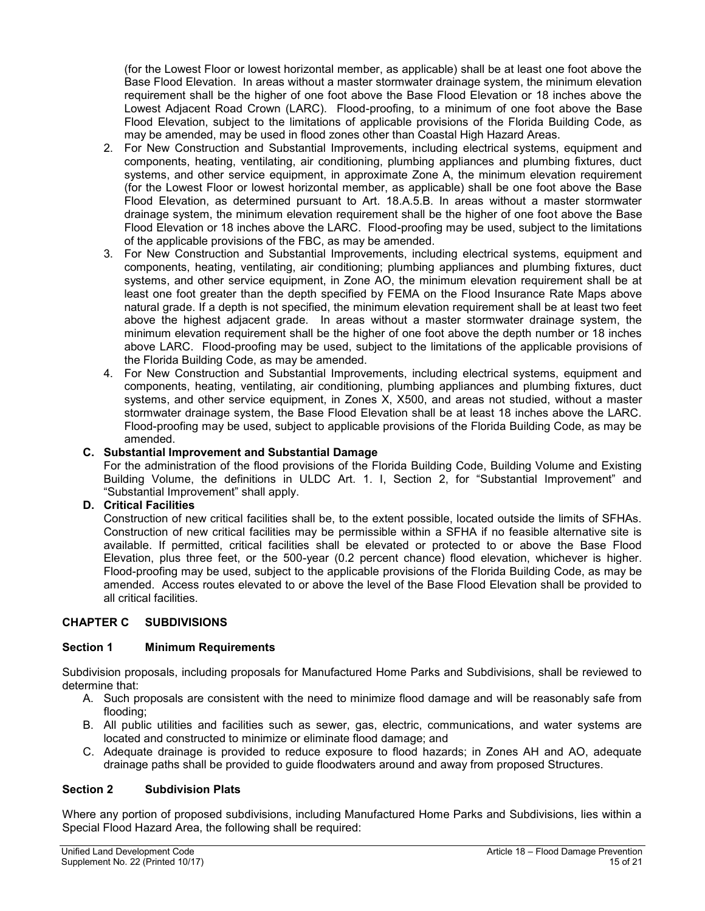(for the Lowest Floor or lowest horizontal member, as applicable) shall be at least one foot above the Base Flood Elevation. In areas without a master stormwater drainage system, the minimum elevation requirement shall be the higher of one foot above the Base Flood Elevation or 18 inches above the Lowest Adjacent Road Crown (LARC). Flood-proofing, to a minimum of one foot above the Base Flood Elevation, subject to the limitations of applicable provisions of the Florida Building Code, as may be amended, may be used in flood zones other than Coastal High Hazard Areas.

- 2. For New Construction and Substantial Improvements, including electrical systems, equipment and components, heating, ventilating, air conditioning, plumbing appliances and plumbing fixtures, duct systems, and other service equipment, in approximate Zone A, the minimum elevation requirement (for the Lowest Floor or lowest horizontal member, as applicable) shall be one foot above the Base Flood Elevation, as determined pursuant to Art. 18.A.5.B. In areas without a master stormwater drainage system, the minimum elevation requirement shall be the higher of one foot above the Base Flood Elevation or 18 inches above the LARC. Flood-proofing may be used, subject to the limitations of the applicable provisions of the FBC, as may be amended.
- 3. For New Construction and Substantial Improvements, including electrical systems, equipment and components, heating, ventilating, air conditioning; plumbing appliances and plumbing fixtures, duct systems, and other service equipment, in Zone AO, the minimum elevation requirement shall be at least one foot greater than the depth specified by FEMA on the Flood Insurance Rate Maps above natural grade. If a depth is not specified, the minimum elevation requirement shall be at least two feet above the highest adjacent grade. In areas without a master stormwater drainage system, the minimum elevation requirement shall be the higher of one foot above the depth number or 18 inches above LARC. Flood-proofing may be used, subject to the limitations of the applicable provisions of the Florida Building Code, as may be amended.
- 4. For New Construction and Substantial Improvements, including electrical systems, equipment and components, heating, ventilating, air conditioning, plumbing appliances and plumbing fixtures, duct systems, and other service equipment, in Zones X, X500, and areas not studied, without a master stormwater drainage system, the Base Flood Elevation shall be at least 18 inches above the LARC. Flood-proofing may be used, subject to applicable provisions of the Florida Building Code, as may be amended.

# <span id="page-14-0"></span>**C. Substantial Improvement and Substantial Damage**

For the administration of the flood provisions of the Florida Building Code, Building Volume and Existing Building Volume, the definitions in ULDC Art. 1. I, Section 2, for "Substantial Improvement" and "Substantial Improvement" shall apply.

## <span id="page-14-1"></span>**D. Critical Facilities**

Construction of new critical facilities shall be, to the extent possible, located outside the limits of SFHAs. Construction of new critical facilities may be permissible within a SFHA if no feasible alternative site is available. If permitted, critical facilities shall be elevated or protected to or above the Base Flood Elevation, plus three feet, or the 500-year (0.2 percent chance) flood elevation, whichever is higher. Flood-proofing may be used, subject to the applicable provisions of the Florida Building Code, as may be amended. Access routes elevated to or above the level of the Base Flood Elevation shall be provided to all critical facilities.

## <span id="page-14-2"></span>**CHAPTER C SUBDIVISIONS**

## <span id="page-14-3"></span>**Section 1 Minimum Requirements**

Subdivision proposals, including proposals for Manufactured Home Parks and Subdivisions, shall be reviewed to determine that:

- A. Such proposals are consistent with the need to minimize flood damage and will be reasonably safe from flooding;
- B. All public utilities and facilities such as sewer, gas, electric, communications, and water systems are located and constructed to minimize or eliminate flood damage; and
- C. Adequate drainage is provided to reduce exposure to flood hazards; in Zones AH and AO, adequate drainage paths shall be provided to guide floodwaters around and away from proposed Structures.

## <span id="page-14-4"></span>**Section 2 Subdivision Plats**

Where any portion of proposed subdivisions, including Manufactured Home Parks and Subdivisions, lies within a Special Flood Hazard Area, the following shall be required: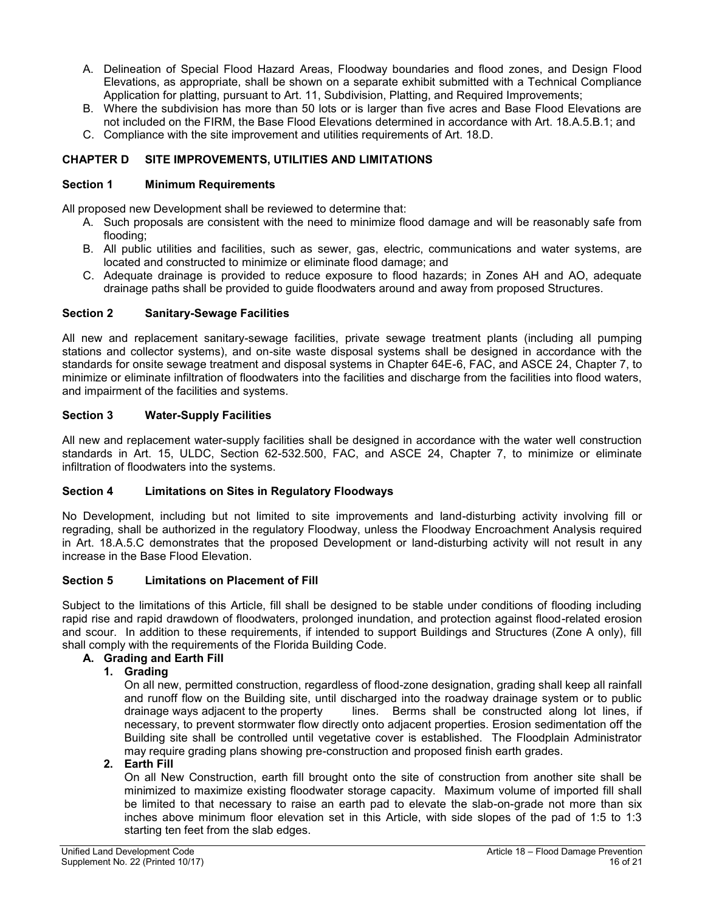- A. Delineation of Special Flood Hazard Areas, Floodway boundaries and flood zones, and Design Flood Elevations, as appropriate, shall be shown on a separate exhibit submitted with a Technical Compliance Application for platting, pursuant to Art. 11, Subdivision, Platting, and Required Improvements;
- B. Where the subdivision has more than 50 lots or is larger than five acres and Base Flood Elevations are not included on the FIRM, the Base Flood Elevations determined in accordance with Art. 18.A.5.B.1; and
- C. Compliance with the site improvement and utilities requirements of Art. 18.D.

# <span id="page-15-0"></span>**CHAPTER D SITE IMPROVEMENTS, UTILITIES AND LIMITATIONS**

## <span id="page-15-1"></span>**Section 1 Minimum Requirements**

All proposed new Development shall be reviewed to determine that:

- A. Such proposals are consistent with the need to minimize flood damage and will be reasonably safe from flooding;
- B. All public utilities and facilities, such as sewer, gas, electric, communications and water systems, are located and constructed to minimize or eliminate flood damage; and
- C. Adequate drainage is provided to reduce exposure to flood hazards; in Zones AH and AO, adequate drainage paths shall be provided to guide floodwaters around and away from proposed Structures.

# <span id="page-15-2"></span>**Section 2 Sanitary-Sewage Facilities**

All new and replacement sanitary-sewage facilities, private sewage treatment plants (including all pumping stations and collector systems), and on-site waste disposal systems shall be designed in accordance with the standards for onsite sewage treatment and disposal systems in Chapter 64E-6, FAC, and ASCE 24, Chapter 7, to minimize or eliminate infiltration of floodwaters into the facilities and discharge from the facilities into flood waters, and impairment of the facilities and systems.

# <span id="page-15-3"></span>**Section 3 Water-Supply Facilities**

All new and replacement water-supply facilities shall be designed in accordance with the water well construction standards in Art. 15, ULDC, Section 62-532.500, FAC, and ASCE 24, Chapter 7, to minimize or eliminate infiltration of floodwaters into the systems.

## <span id="page-15-4"></span>**Section 4 Limitations on Sites in Regulatory Floodways**

No Development, including but not limited to site improvements and land-disturbing activity involving fill or regrading, shall be authorized in the regulatory Floodway, unless the Floodway Encroachment Analysis required in Art. 18.A.5.C demonstrates that the proposed Development or land-disturbing activity will not result in any increase in the Base Flood Elevation.

## <span id="page-15-5"></span>**Section 5 Limitations on Placement of Fill**

Subject to the limitations of this Article, fill shall be designed to be stable under conditions of flooding including rapid rise and rapid drawdown of floodwaters, prolonged inundation, and protection against flood-related erosion and scour. In addition to these requirements, if intended to support Buildings and Structures (Zone A only), fill shall comply with the requirements of the Florida Building Code.

## <span id="page-15-7"></span><span id="page-15-6"></span>**A. Grading and Earth Fill**

# **1. Grading**

On all new, permitted construction, regardless of flood-zone designation, grading shall keep all rainfall and runoff flow on the Building site, until discharged into the roadway drainage system or to public<br>drainage ways adiacent to the property lines. Berms shall be constructed along lot lines, if lines. Berms shall be constructed along lot lines, if necessary, to prevent stormwater flow directly onto adjacent properties. Erosion sedimentation off the Building site shall be controlled until vegetative cover is established. The Floodplain Administrator may require grading plans showing pre-construction and proposed finish earth grades.

## <span id="page-15-8"></span>**2. Earth Fill**

On all New Construction, earth fill brought onto the site of construction from another site shall be minimized to maximize existing floodwater storage capacity. Maximum volume of imported fill shall be limited to that necessary to raise an earth pad to elevate the slab-on-grade not more than six inches above minimum floor elevation set in this Article, with side slopes of the pad of 1:5 to 1:3 starting ten feet from the slab edges.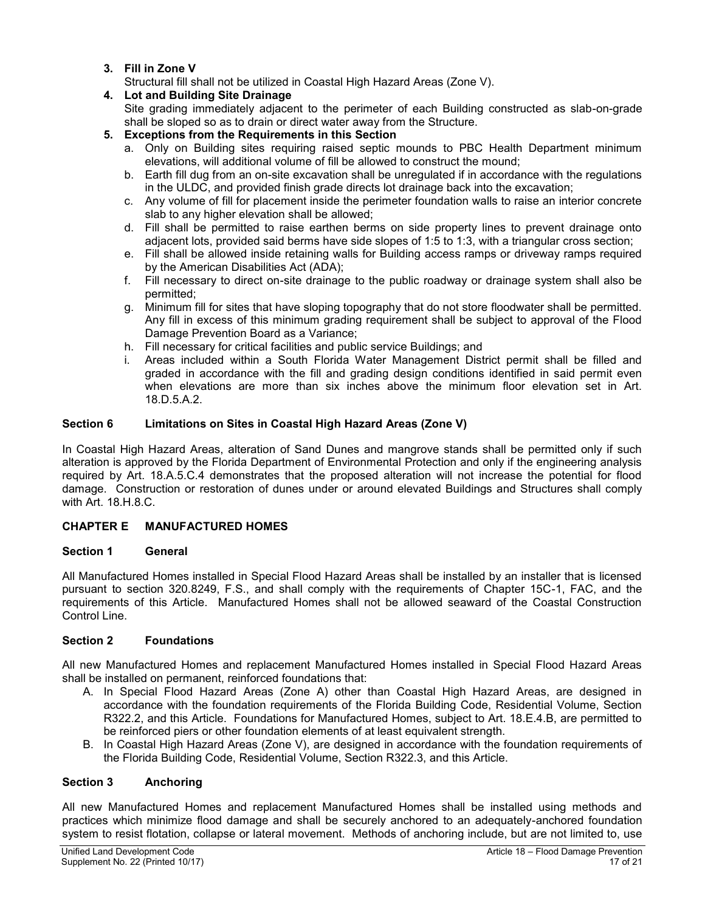<span id="page-16-0"></span>**3. Fill in Zone V**

Structural fill shall not be utilized in Coastal High Hazard Areas (Zone V).

## <span id="page-16-1"></span>**4. Lot and Building Site Drainage**

Site grading immediately adjacent to the perimeter of each Building constructed as slab-on-grade shall be sloped so as to drain or direct water away from the Structure.

## <span id="page-16-2"></span>**5. Exceptions from the Requirements in this Section**

- a. Only on Building sites requiring raised septic mounds to PBC Health Department minimum elevations, will additional volume of fill be allowed to construct the mound;
- b. Earth fill dug from an on-site excavation shall be unregulated if in accordance with the regulations in the ULDC, and provided finish grade directs lot drainage back into the excavation;
- c. Any volume of fill for placement inside the perimeter foundation walls to raise an interior concrete slab to any higher elevation shall be allowed;
- d. Fill shall be permitted to raise earthen berms on side property lines to prevent drainage onto adjacent lots, provided said berms have side slopes of 1:5 to 1:3, with a triangular cross section;
- e. Fill shall be allowed inside retaining walls for Building access ramps or driveway ramps required by the American Disabilities Act (ADA);
- f. Fill necessary to direct on-site drainage to the public roadway or drainage system shall also be permitted;
- g. Minimum fill for sites that have sloping topography that do not store floodwater shall be permitted. Any fill in excess of this minimum grading requirement shall be subject to approval of the Flood Damage Prevention Board as a Variance;
- h. Fill necessary for critical facilities and public service Buildings; and
- i. Areas included within a South Florida Water Management District permit shall be filled and graded in accordance with the fill and grading design conditions identified in said permit even when elevations are more than six inches above the minimum floor elevation set in Art. 18.D.5.A.2.

# <span id="page-16-3"></span>**Section 6 Limitations on Sites in Coastal High Hazard Areas (Zone V)**

In Coastal High Hazard Areas, alteration of Sand Dunes and mangrove stands shall be permitted only if such alteration is approved by the Florida Department of Environmental Protection and only if the engineering analysis required by Art. 18.A.5.C.4 demonstrates that the proposed alteration will not increase the potential for flood damage. Construction or restoration of dunes under or around elevated Buildings and Structures shall comply with Art. 18.H.8.C.

## <span id="page-16-4"></span>**CHAPTER E MANUFACTURED HOMES**

## <span id="page-16-5"></span>**Section 1 General**

All Manufactured Homes installed in Special Flood Hazard Areas shall be installed by an installer that is licensed pursuant to section 320.8249, F.S., and shall comply with the requirements of Chapter 15C-1, FAC, and the requirements of this Article. Manufactured Homes shall not be allowed seaward of the Coastal Construction Control Line.

## <span id="page-16-6"></span>**Section 2 Foundations**

All new Manufactured Homes and replacement Manufactured Homes installed in Special Flood Hazard Areas shall be installed on permanent, reinforced foundations that:

- A. In Special Flood Hazard Areas (Zone A) other than Coastal High Hazard Areas, are designed in accordance with the foundation requirements of the Florida Building Code, Residential Volume, Section R322.2, and this Article. Foundations for Manufactured Homes, subject to Art. 18.E.4.B, are permitted to be reinforced piers or other foundation elements of at least equivalent strength.
- B. In Coastal High Hazard Areas (Zone V), are designed in accordance with the foundation requirements of the Florida Building Code, Residential Volume, Section R322.3, and this Article.

## <span id="page-16-7"></span>**Section 3 Anchoring**

All new Manufactured Homes and replacement Manufactured Homes shall be installed using methods and practices which minimize flood damage and shall be securely anchored to an adequately-anchored foundation system to resist flotation, collapse or lateral movement. Methods of anchoring include, but are not limited to, use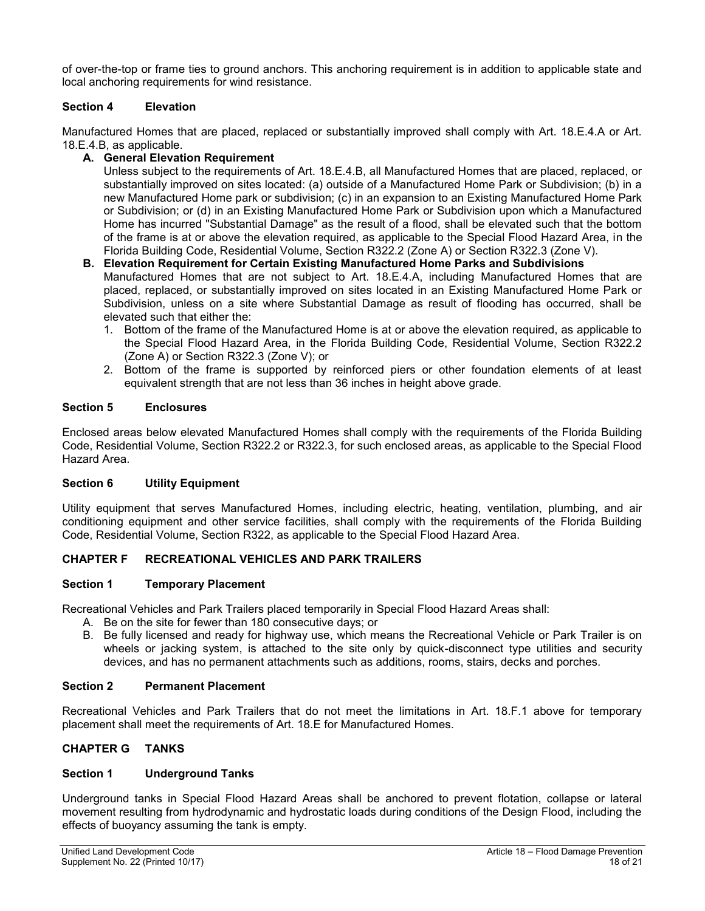of over-the-top or frame ties to ground anchors. This anchoring requirement is in addition to applicable state and local anchoring requirements for wind resistance.

## <span id="page-17-0"></span>**Section 4 Elevation**

Manufactured Homes that are placed, replaced or substantially improved shall comply with Art. 18.E.4.A or Art. 18.E.4.B, as applicable.

## <span id="page-17-1"></span>**A. General Elevation Requirement**

Unless subject to the requirements of Art. 18.E.4.B, all Manufactured Homes that are placed, replaced, or substantially improved on sites located: (a) outside of a Manufactured Home Park or Subdivision; (b) in a new Manufactured Home park or subdivision; (c) in an expansion to an Existing Manufactured Home Park or Subdivision; or (d) in an Existing Manufactured Home Park or Subdivision upon which a Manufactured Home has incurred "Substantial Damage" as the result of a flood, shall be elevated such that the bottom of the frame is at or above the elevation required, as applicable to the Special Flood Hazard Area, in the Florida Building Code, Residential Volume, Section R322.2 (Zone A) or Section R322.3 (Zone V).

## <span id="page-17-2"></span>**B. Elevation Requirement for Certain Existing Manufactured Home Parks and Subdivisions**

Manufactured Homes that are not subject to Art. 18.E.4.A, including Manufactured Homes that are placed, replaced, or substantially improved on sites located in an Existing Manufactured Home Park or Subdivision, unless on a site where Substantial Damage as result of flooding has occurred, shall be elevated such that either the:

- 1. Bottom of the frame of the Manufactured Home is at or above the elevation required, as applicable to the Special Flood Hazard Area, in the Florida Building Code, Residential Volume, Section R322.2 (Zone A) or Section R322.3 (Zone V); or
- 2. Bottom of the frame is supported by reinforced piers or other foundation elements of at least equivalent strength that are not less than 36 inches in height above grade.

## <span id="page-17-3"></span>**Section 5 Enclosures**

Enclosed areas below elevated Manufactured Homes shall comply with the requirements of the Florida Building Code, Residential Volume, Section R322.2 or R322.3, for such enclosed areas, as applicable to the Special Flood Hazard Area.

#### <span id="page-17-4"></span>**Section 6 Utility Equipment**

Utility equipment that serves Manufactured Homes, including electric, heating, ventilation, plumbing, and air conditioning equipment and other service facilities, shall comply with the requirements of the Florida Building Code, Residential Volume, Section R322, as applicable to the Special Flood Hazard Area.

## <span id="page-17-6"></span><span id="page-17-5"></span>**CHAPTER F RECREATIONAL VEHICLES AND PARK TRAILERS**

#### **Section 1 Temporary Placement**

Recreational Vehicles and Park Trailers placed temporarily in Special Flood Hazard Areas shall:

- A. Be on the site for fewer than 180 consecutive days; or
- B. Be fully licensed and ready for highway use, which means the Recreational Vehicle or Park Trailer is on wheels or jacking system, is attached to the site only by quick-disconnect type utilities and security devices, and has no permanent attachments such as additions, rooms, stairs, decks and porches.

## <span id="page-17-7"></span>**Section 2 Permanent Placement**

Recreational Vehicles and Park Trailers that do not meet the limitations in Art. 18.F.1 above for temporary placement shall meet the requirements of Art. 18.E for Manufactured Homes.

## <span id="page-17-9"></span><span id="page-17-8"></span>**CHAPTER G TANKS**

#### **Section 1 Underground Tanks**

Underground tanks in Special Flood Hazard Areas shall be anchored to prevent flotation, collapse or lateral movement resulting from hydrodynamic and hydrostatic loads during conditions of the Design Flood, including the effects of buoyancy assuming the tank is empty.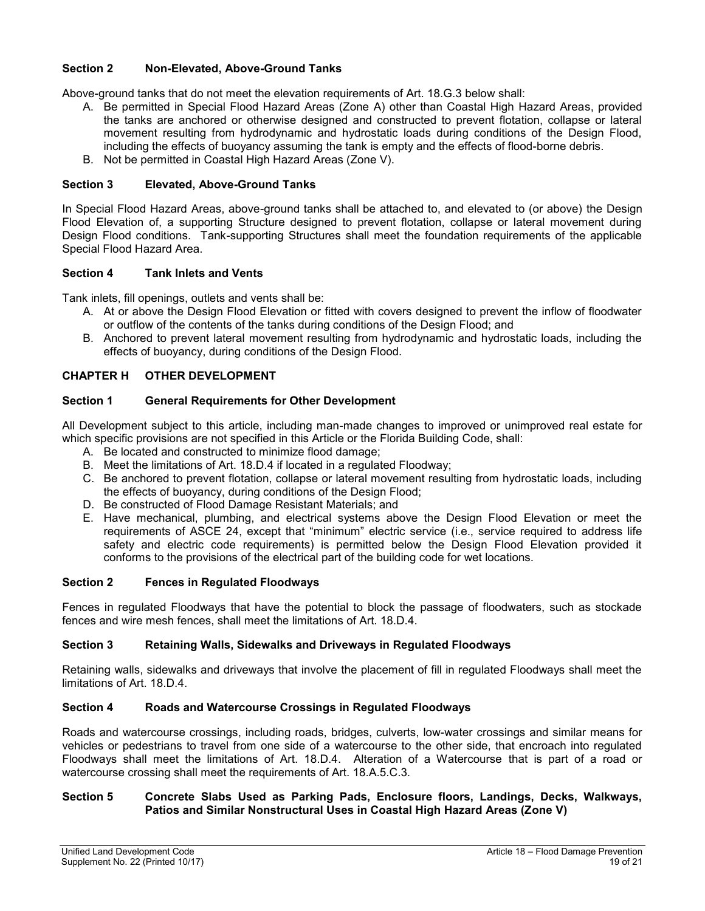## <span id="page-18-0"></span>**Section 2 Non-Elevated, Above-Ground Tanks**

Above-ground tanks that do not meet the elevation requirements of Art. 18.G.3 below shall:

- A. Be permitted in Special Flood Hazard Areas (Zone A) other than Coastal High Hazard Areas, provided the tanks are anchored or otherwise designed and constructed to prevent flotation, collapse or lateral movement resulting from hydrodynamic and hydrostatic loads during conditions of the Design Flood, including the effects of buoyancy assuming the tank is empty and the effects of flood-borne debris.
- B. Not be permitted in Coastal High Hazard Areas (Zone V).

## <span id="page-18-1"></span>**Section 3 Elevated, Above-Ground Tanks**

In Special Flood Hazard Areas, above-ground tanks shall be attached to, and elevated to (or above) the Design Flood Elevation of, a supporting Structure designed to prevent flotation, collapse or lateral movement during Design Flood conditions. Tank-supporting Structures shall meet the foundation requirements of the applicable Special Flood Hazard Area.

## <span id="page-18-2"></span>**Section 4 Tank Inlets and Vents**

Tank inlets, fill openings, outlets and vents shall be:

- A. At or above the Design Flood Elevation or fitted with covers designed to prevent the inflow of floodwater or outflow of the contents of the tanks during conditions of the Design Flood; and
- B. Anchored to prevent lateral movement resulting from hydrodynamic and hydrostatic loads, including the effects of buoyancy, during conditions of the Design Flood.

## <span id="page-18-3"></span>**CHAPTER H OTHER DEVELOPMENT**

## <span id="page-18-4"></span>**Section 1 General Requirements for Other Development**

All Development subject to this article, including man-made changes to improved or unimproved real estate for which specific provisions are not specified in this Article or the Florida Building Code, shall:

- A. Be located and constructed to minimize flood damage;
- B. Meet the limitations of Art. 18.D.4 if located in a regulated Floodway;
- C. Be anchored to prevent flotation, collapse or lateral movement resulting from hydrostatic loads, including the effects of buoyancy, during conditions of the Design Flood;
- D. Be constructed of Flood Damage Resistant Materials; and
- E. Have mechanical, plumbing, and electrical systems above the Design Flood Elevation or meet the requirements of ASCE 24, except that "minimum" electric service (i.e., service required to address life safety and electric code requirements) is permitted below the Design Flood Elevation provided it conforms to the provisions of the electrical part of the building code for wet locations.

#### <span id="page-18-5"></span>**Section 2 Fences in Regulated Floodways**

Fences in regulated Floodways that have the potential to block the passage of floodwaters, such as stockade fences and wire mesh fences, shall meet the limitations of Art. 18.D.4.

## <span id="page-18-6"></span>**Section 3 Retaining Walls, Sidewalks and Driveways in Regulated Floodways**

Retaining walls, sidewalks and driveways that involve the placement of fill in regulated Floodways shall meet the limitations of Art. 18.D.4.

#### <span id="page-18-7"></span>**Section 4 Roads and Watercourse Crossings in Regulated Floodways**

Roads and watercourse crossings, including roads, bridges, culverts, low-water crossings and similar means for vehicles or pedestrians to travel from one side of a watercourse to the other side, that encroach into regulated Floodways shall meet the limitations of Art. 18.D.4. Alteration of a Watercourse that is part of a road or watercourse crossing shall meet the requirements of Art. 18.A.5.C.3.

## <span id="page-18-8"></span>**Section 5 Concrete Slabs Used as Parking Pads, Enclosure floors, Landings, Decks, Walkways, Patios and Similar Nonstructural Uses in Coastal High Hazard Areas (Zone V)**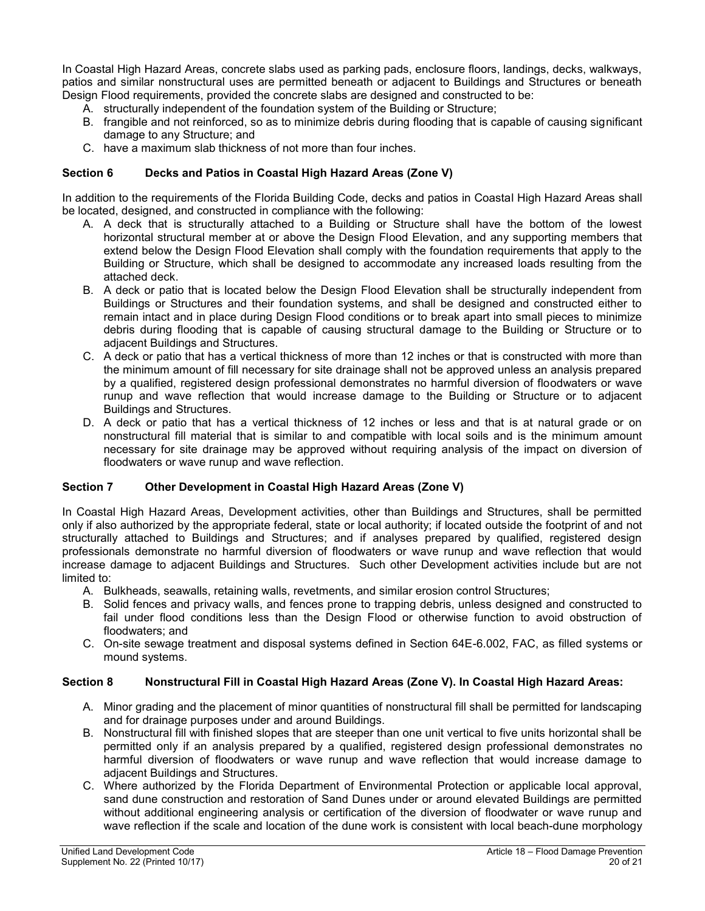In Coastal High Hazard Areas, concrete slabs used as parking pads, enclosure floors, landings, decks, walkways, patios and similar nonstructural uses are permitted beneath or adjacent to Buildings and Structures or beneath Design Flood requirements, provided the concrete slabs are designed and constructed to be:

- A. structurally independent of the foundation system of the Building or Structure;
- B. frangible and not reinforced, so as to minimize debris during flooding that is capable of causing significant damage to any Structure; and
- C. have a maximum slab thickness of not more than four inches.

## <span id="page-19-0"></span>**Section 6 Decks and Patios in Coastal High Hazard Areas (Zone V)**

In addition to the requirements of the Florida Building Code, decks and patios in Coastal High Hazard Areas shall be located, designed, and constructed in compliance with the following:

- A. A deck that is structurally attached to a Building or Structure shall have the bottom of the lowest horizontal structural member at or above the Design Flood Elevation, and any supporting members that extend below the Design Flood Elevation shall comply with the foundation requirements that apply to the Building or Structure, which shall be designed to accommodate any increased loads resulting from the attached deck.
- B. A deck or patio that is located below the Design Flood Elevation shall be structurally independent from Buildings or Structures and their foundation systems, and shall be designed and constructed either to remain intact and in place during Design Flood conditions or to break apart into small pieces to minimize debris during flooding that is capable of causing structural damage to the Building or Structure or to adjacent Buildings and Structures.
- C. A deck or patio that has a vertical thickness of more than 12 inches or that is constructed with more than the minimum amount of fill necessary for site drainage shall not be approved unless an analysis prepared by a qualified, registered design professional demonstrates no harmful diversion of floodwaters or wave runup and wave reflection that would increase damage to the Building or Structure or to adjacent Buildings and Structures.
- D. A deck or patio that has a vertical thickness of 12 inches or less and that is at natural grade or on nonstructural fill material that is similar to and compatible with local soils and is the minimum amount necessary for site drainage may be approved without requiring analysis of the impact on diversion of floodwaters or wave runup and wave reflection.

# <span id="page-19-1"></span>**Section 7 Other Development in Coastal High Hazard Areas (Zone V)**

In Coastal High Hazard Areas, Development activities, other than Buildings and Structures, shall be permitted only if also authorized by the appropriate federal, state or local authority; if located outside the footprint of and not structurally attached to Buildings and Structures; and if analyses prepared by qualified, registered design professionals demonstrate no harmful diversion of floodwaters or wave runup and wave reflection that would increase damage to adjacent Buildings and Structures. Such other Development activities include but are not limited to:

- A. Bulkheads, seawalls, retaining walls, revetments, and similar erosion control Structures;
- B. Solid fences and privacy walls, and fences prone to trapping debris, unless designed and constructed to fail under flood conditions less than the Design Flood or otherwise function to avoid obstruction of floodwaters; and
- C. On-site sewage treatment and disposal systems defined in Section 64E-6.002, FAC, as filled systems or mound systems.

#### <span id="page-19-2"></span>**Section 8 Nonstructural Fill in Coastal High Hazard Areas (Zone V). In Coastal High Hazard Areas:**

- A. Minor grading and the placement of minor quantities of nonstructural fill shall be permitted for landscaping and for drainage purposes under and around Buildings.
- B. Nonstructural fill with finished slopes that are steeper than one unit vertical to five units horizontal shall be permitted only if an analysis prepared by a qualified, registered design professional demonstrates no harmful diversion of floodwaters or wave runup and wave reflection that would increase damage to adjacent Buildings and Structures.
- C. Where authorized by the Florida Department of Environmental Protection or applicable local approval, sand dune construction and restoration of Sand Dunes under or around elevated Buildings are permitted without additional engineering analysis or certification of the diversion of floodwater or wave runup and wave reflection if the scale and location of the dune work is consistent with local beach-dune morphology